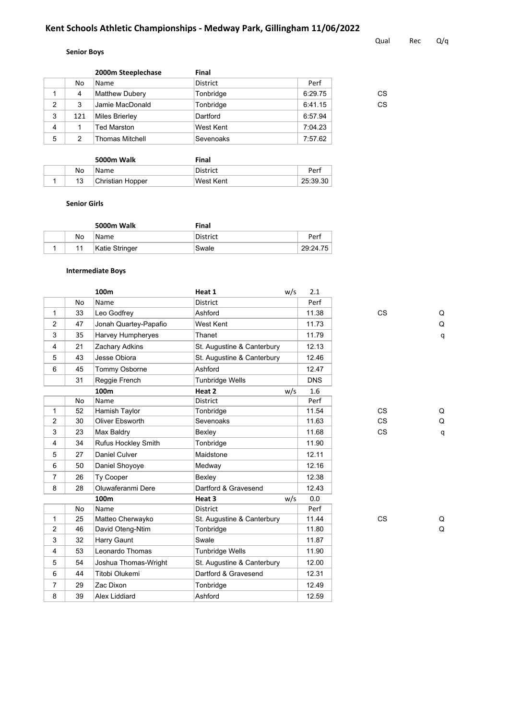# **Kent Schools Athletic Championships - Medway Park, Gillingham 11/06/2022**

### **Senior Boys**

|                |     | 2000m Steeplechase     | <b>Final</b>    |         |    |
|----------------|-----|------------------------|-----------------|---------|----|
|                | No  | Name                   | <b>District</b> | Perf    |    |
|                | 4   | Matthew Dubery         | Tonbridge       | 6:29.75 | СS |
| 2              | 3   | Jamie MacDonald        | Tonbridge       | 6:41.15 | CS |
| 3              | 121 | Miles Brierley         | Dartford        | 6:57.94 |    |
| $\overline{4}$ |     | <b>Ted Marston</b>     | West Kent       | 7:04.23 |    |
| 5              | 2   | <b>Thomas Mitchell</b> | Sevenoaks       | 7:57.62 |    |
|                |     |                        |                 |         |    |

|    | 5000m Walk       | Final     |          |
|----|------------------|-----------|----------|
| No | Name             | District  | Perf     |
| 13 | Christian Hopper | West Kent | 25:39.30 |

#### **Senior Girls**

|    | 5000m Walk     | Final    |          |
|----|----------------|----------|----------|
| No | Name           | District | Perf     |
|    | Katie Stringer | Swale    | 29:24.75 |

#### **Intermediate Boys**

|                |    | 100 <sub>m</sub>      | Heat 1                     | w/s | 2.1        |           |   |
|----------------|----|-----------------------|----------------------------|-----|------------|-----------|---|
|                | No | Name                  | <b>District</b>            |     | Perf       |           |   |
| 1              | 33 | Leo Godfrey           | Ashford                    |     | 11.38      | <b>CS</b> | Q |
| 2              | 47 | Jonah Quartey-Papafio | West Kent                  |     | 11.73      |           | Q |
| 3              | 35 | Harvey Humpheryes     | Thanet                     |     | 11.79      |           | q |
| $\overline{4}$ | 21 | Zachary Adkins        | St. Augustine & Canterbury |     | 12.13      |           |   |
| 5              | 43 | Jesse Obiora          | St. Augustine & Canterbury |     | 12.46      |           |   |
| 6              | 45 | Tommy Osborne         | Ashford                    |     | 12.47      |           |   |
|                | 31 | Reggie French         | <b>Tunbridge Wells</b>     |     | <b>DNS</b> |           |   |
|                |    | 100m                  | Heat 2                     | w/s | 1.6        |           |   |
|                | No | Name                  | <b>District</b>            |     | Perf       |           |   |
| 1              | 52 | Hamish Taylor         | Tonbridge                  |     | 11.54      | <b>CS</b> | Q |
| $\overline{2}$ | 30 | Oliver Ebsworth       | Sevenoaks                  |     | 11.63      | <b>CS</b> | Q |
| 3              | 23 | Max Baldry            | Bexley                     |     | 11.68      | <b>CS</b> | q |
| $\overline{4}$ | 34 | Rufus Hockley Smith   | Tonbridge                  |     | 11.90      |           |   |
| 5              | 27 | Daniel Culver         | Maidstone                  |     | 12.11      |           |   |
| 6              | 50 | Daniel Shoyoye        | Medway                     |     | 12.16      |           |   |
| $\overline{7}$ | 26 | <b>Ty Cooper</b>      | Bexley                     |     | 12.38      |           |   |
| 8              | 28 | Oluwaferanmi Dere     | Dartford & Gravesend       |     | 12.43      |           |   |
|                |    | 100m                  | Heat 3                     | w/s | 0.0        |           |   |
|                | No | Name                  | <b>District</b>            |     | Perf       |           |   |
| $\mathbf{1}$   | 25 | Matteo Cherwayko      | St. Augustine & Canterbury |     | 11.44      | <b>CS</b> | Q |
| $\overline{2}$ | 46 | David Oteng-Ntim      | Tonbridge                  |     | 11.80      |           | Q |
| 3              | 32 | Harry Gaunt           | Swale                      |     | 11.87      |           |   |
| $\overline{4}$ | 53 | Leonardo Thomas       | <b>Tunbridge Wells</b>     |     | 11.90      |           |   |
| 5              | 54 | Joshua Thomas-Wright  | St. Augustine & Canterbury |     | 12.00      |           |   |
| 6              | 44 | Titobi Olukemi        | Dartford & Gravesend       |     | 12.31      |           |   |
| $\overline{7}$ | 29 | Zac Dixon             | Tonbridge                  |     | 12.49      |           |   |
| 8              | 39 | Alex Liddiard         | Ashford                    |     | 12.59      |           |   |

Qual Rec Q/q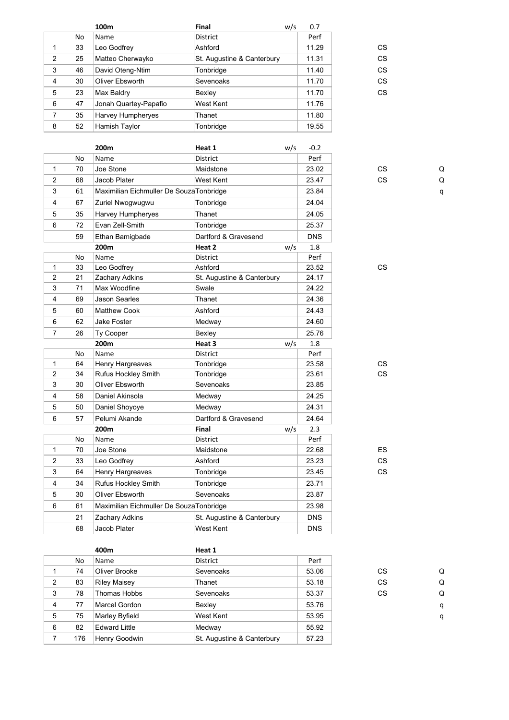|                |    | 100 <sub>m</sub>      | Final                      | w/s | 0.7   |    |
|----------------|----|-----------------------|----------------------------|-----|-------|----|
|                | No | Name                  | <b>District</b>            |     | Perf  |    |
|                | 33 | Leo Godfrey           | Ashford                    |     | 11.29 | CS |
| 2              | 25 | Matteo Cherwayko      | St. Augustine & Canterbury |     | 11.31 | CS |
| 3              | 46 | David Oteng-Ntim      | Tonbridge                  |     | 11.40 | CS |
| $\overline{4}$ | 30 | Oliver Ebsworth       | Sevenoaks                  |     | 11.70 | CS |
| 5              | 23 | Max Baldry            | Bexley                     |     | 11.70 | CS |
| 6              | 47 | Jonah Quartey-Papafio | West Kent                  |     | 11.76 |    |
| 7              | 35 | Harvey Humpheryes     | Thanet                     |     | 11.80 |    |
| 8              | 52 | Hamish Taylor         | Tonbridge                  |     | 19.55 |    |

|                |    | 200m                                     | Heat 1                     | w/s | $-0.2$     |           |   |
|----------------|----|------------------------------------------|----------------------------|-----|------------|-----------|---|
|                | No | Name                                     | <b>District</b>            |     | Perf       |           |   |
| 1              | 70 | Joe Stone                                | Maidstone                  |     | 23.02      | <b>CS</b> | Q |
| 2              | 68 | Jacob Plater                             | West Kent                  |     | 23.47      | <b>CS</b> | Q |
| 3              | 61 | Maximilian Eichmuller De Souza Tonbridge |                            |     | 23.84      |           | q |
| $\overline{4}$ | 67 | Zuriel Nwogwugwu                         | Tonbridge                  |     | 24.04      |           |   |
| $\sqrt{5}$     | 35 | Harvey Humpheryes                        | Thanet                     |     | 24.05      |           |   |
| 6              | 72 | Evan Zell-Smith                          | Tonbridge                  |     | 25.37      |           |   |
|                | 59 | Ethan Bamigbade                          | Dartford & Gravesend       |     | <b>DNS</b> |           |   |
|                |    | 200m                                     | Heat 2                     | w/s | 1.8        |           |   |
|                | No | Name                                     | District                   |     | Perf       |           |   |
| 1              | 33 | Leo Godfrey                              | Ashford                    |     | 23.52      | CS        |   |
| 2              | 21 | Zachary Adkins                           | St. Augustine & Canterbury |     | 24.17      |           |   |
| 3              | 71 | Max Woodfine                             | Swale                      |     | 24.22      |           |   |
| 4              | 69 | <b>Jason Searles</b>                     | Thanet                     |     | 24.36      |           |   |
| $\sqrt{5}$     | 60 | <b>Matthew Cook</b>                      | Ashford                    |     | 24.43      |           |   |
| 6              | 62 | <b>Jake Foster</b>                       | Medway                     |     | 24.60      |           |   |
| $\overline{7}$ | 26 | Ty Cooper                                | Bexley                     |     | 25.76      |           |   |
|                |    | 200m                                     | Heat 3                     | w/s | 1.8        |           |   |
|                | No | Name                                     | <b>District</b>            |     | Perf       |           |   |
| $\mathbf{1}$   | 64 | Henry Hargreaves                         | Tonbridge                  |     | 23.58      | <b>CS</b> |   |
| 2              | 34 | Rufus Hockley Smith                      | Tonbridge                  |     | 23.61      | <b>CS</b> |   |
| 3              | 30 | Oliver Ebsworth                          | Sevenoaks                  |     | 23.85      |           |   |
| $\overline{4}$ | 58 | Daniel Akinsola                          | Medway                     |     | 24.25      |           |   |
| $\,$ 5 $\,$    | 50 | Daniel Shoyoye                           | Medway                     |     | 24.31      |           |   |
| 6              | 57 | Pelumi Akande                            | Dartford & Gravesend       |     | 24.64      |           |   |
|                |    | 200m                                     | Final                      | w/s | 2.3        |           |   |
|                | No | Name                                     | <b>District</b>            |     | Perf       |           |   |
| 1              | 70 | Joe Stone                                | Maidstone                  |     | 22.68      | ES        |   |
| 2              | 33 | Leo Godfrey                              | Ashford                    |     | 23.23      | <b>CS</b> |   |
| 3              | 64 | Henry Hargreaves                         | Tonbridge                  |     | 23.45      | <b>CS</b> |   |
| 4              | 34 | <b>Rufus Hockley Smith</b>               | Tonbridge                  |     | 23.71      |           |   |
| $\sqrt{5}$     | 30 | Oliver Ebsworth                          | Sevenoaks                  |     | 23.87      |           |   |
| 6              | 61 | Maximilian Eichmuller De Souza Tonbridge |                            |     | 23.98      |           |   |
|                | 21 | Zachary Adkins                           | St. Augustine & Canterbury |     | <b>DNS</b> |           |   |
|                | 68 | Jacob Plater                             | <b>West Kent</b>           |     | <b>DNS</b> |           |   |
|                |    |                                          |                            |     |            |           |   |

**400m Heat 1** No Name District Perf 1 74 Oliver Brooke Sevenoaks 53.06 CS Q 2 83 Riley Maisey Thanet 53.18 CS Q 3 78 Thomas Hobbs Sevenoaks 53.37 CS Q 4 77 Marcel Gordon Bexley 53.76 q 5 75 Marley Byfield West Kent 53.95 q 6 82 Edward Little Medway 55.92 7 | 176 | Henry Goodwin | St. Augustine & Canterbury | 57.23

| CS |
|----|
| СS |
| СS |
| СS |
| СS |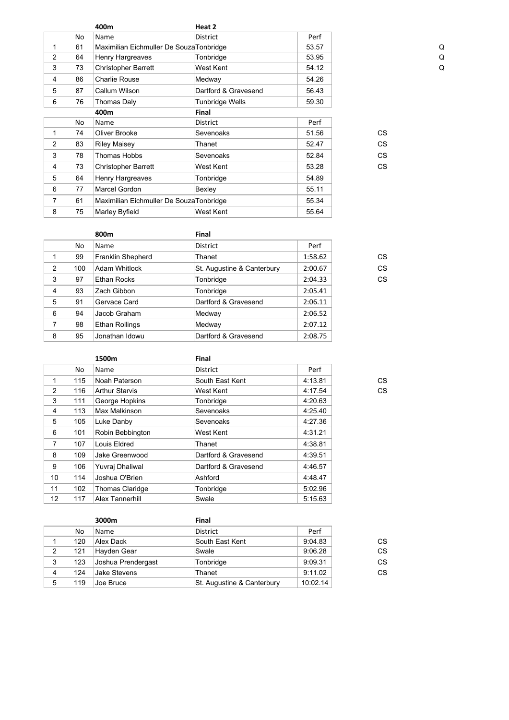|                |    | 400m                                     | Heat 2               |       |           |   |
|----------------|----|------------------------------------------|----------------------|-------|-----------|---|
|                | No | Name                                     | <b>District</b>      | Perf  |           |   |
| $\mathbf{1}$   | 61 | Maximilian Eichmuller De SouzaTonbridge  |                      | 53.57 |           | Q |
| $\overline{2}$ | 64 | Henry Hargreaves                         | Tonbridge            | 53.95 |           | Q |
| 3              | 73 | <b>Christopher Barrett</b>               | West Kent            | 54.12 |           | Q |
| 4              | 86 | <b>Charlie Rouse</b>                     | Medway               | 54.26 |           |   |
| 5              | 87 | Callum Wilson                            | Dartford & Gravesend | 56.43 |           |   |
| 6              | 76 | Thomas Daly                              | Tunbridge Wells      | 59.30 |           |   |
|                |    | 400m                                     | Final                |       |           |   |
|                | No | Name                                     | District             | Perf  |           |   |
| 1              | 74 | Oliver Brooke                            | Sevenoaks            | 51.56 | <b>CS</b> |   |
| $\overline{2}$ | 83 | <b>Riley Maisey</b>                      | Thanet               | 52.47 | CS.       |   |
| 3              | 78 | <b>Thomas Hobbs</b>                      | Sevenoaks            | 52.84 | CS.       |   |
| 4              | 73 | <b>Christopher Barrett</b>               | West Kent            | 53.28 | <b>CS</b> |   |
| 5              | 64 | Henry Hargreaves                         | Tonbridge            | 54.89 |           |   |
| 6              | 77 | Marcel Gordon                            | Bexley               | 55.11 |           |   |
| 7              | 61 | Maximilian Eichmuller De Souza Tonbridge |                      | 55.34 |           |   |
| 8              | 75 | Marley Byfield                           | West Kent            | 55.64 |           |   |

|   |     | 800m                 | Final                      |         |
|---|-----|----------------------|----------------------------|---------|
|   | No  | Name                 | District                   | Perf    |
| 1 | 99  | Franklin Shepherd    | Thanet                     | 1:58.62 |
| 2 | 100 | <b>Adam Whitlock</b> | St. Augustine & Canterbury | 2:00.67 |
| 3 | 97  | Ethan Rocks          | Tonbridge                  | 2:04.33 |
| 4 | 93  | Zach Gibbon          | Tonbridge                  | 2:05.41 |
| 5 | 91  | Gervace Card         | Dartford & Gravesend       | 2:06.11 |
| 6 | 94  | Jacob Graham         | Medway                     | 2:06.52 |
| 7 | 98  | Ethan Rollings       | Medway                     | 2:07.12 |
| 8 | 95  | Jonathan Idowu       | Dartford & Gravesend       | 2:08.75 |

|                |     | 1500m                  | Final                |         |    |
|----------------|-----|------------------------|----------------------|---------|----|
|                | No  | Name                   | District             | Perf    |    |
| 1              | 115 | Noah Paterson          | South East Kent      | 4:13.81 | CS |
| 2              | 116 | <b>Arthur Starvis</b>  | West Kent            | 4:17.54 | CS |
| 3              | 111 | George Hopkins         | Tonbridge            | 4:20.63 |    |
| 4              | 113 | Max Malkinson          | Sevenoaks            | 4:25.40 |    |
| 5              | 105 | Luke Danby             | Sevenoaks            | 4:27.36 |    |
| 6              | 101 | Robin Bebbington       | West Kent            | 4:31.21 |    |
| $\overline{7}$ | 107 | Louis Eldred           | Thanet               | 4:38.81 |    |
| 8              | 109 | Jake Greenwood         | Dartford & Gravesend | 4:39.51 |    |
| 9              | 106 | Yuvraj Dhaliwal        | Dartford & Gravesend | 4:46.57 |    |
| 10             | 114 | Joshua O'Brien         | Ashford              | 4:48.47 |    |
| 11             | 102 | <b>Thomas Claridge</b> | Tonbridge            | 5:02.96 |    |
| 12             | 117 | Alex Tannerhill        | Swale                | 5:15.63 |    |

|   |     | 3000m               | Final                      |          |    |
|---|-----|---------------------|----------------------------|----------|----|
|   | No  | Name                | <b>District</b>            | Perf     |    |
|   | 120 | Alex Dack           | South East Kent            | 9:04.83  | CS |
| 2 | 121 | Hayden Gear         | Swale                      | 9:06.28  | CS |
| 3 | 123 | Joshua Prendergast  | Tonbridge                  | 9:09.31  | CS |
| 4 | 124 | <b>Jake Stevens</b> | Thanet                     | 9:11.02  | CS |
| 5 | 119 | Joe Bruce           | St. Augustine & Canterbury | 10:02.14 |    |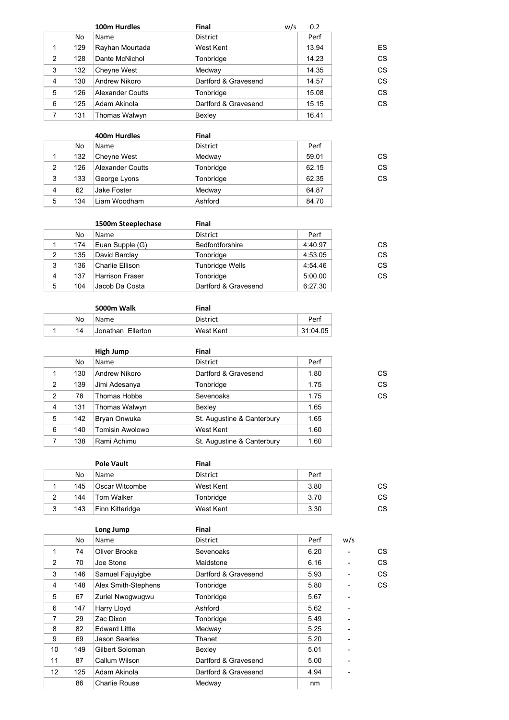|     | 100m Hurdles     | <b>Final</b>         | 0.2   |     |
|-----|------------------|----------------------|-------|-----|
| No  | Name             | <b>District</b>      | Perf  |     |
| 129 | Rayhan Mourtada  | West Kent            | 13.94 | ES  |
| 128 | Dante McNichol   | Tonbridge            | 14.23 | CS  |
| 132 | Cheyne West      | Medway               | 14.35 | CS  |
| 130 | Andrew Nikoro    | Dartford & Gravesend | 14.57 | CS  |
| 126 | Alexander Coutts | Tonbridge            | 15.08 | CS  |
| 125 | Adam Akinola     | Dartford & Gravesend | 15.15 | CS  |
| 131 | Thomas Walwyn    | Bexley               | 16.41 |     |
|     |                  |                      |       | w/s |

|                |     | 400m Hurdles            | Final           |       |    |
|----------------|-----|-------------------------|-----------------|-------|----|
|                | No  | Name                    | <b>District</b> | Perf  |    |
|                | 132 | Cheyne West             | Medway          | 59.01 | CS |
| 2              | 126 | <b>Alexander Coutts</b> | Tonbridge       | 62.15 | CS |
| 3              | 133 | George Lyons            | Tonbridge       | 62.35 | CS |
| $\overline{4}$ | 62  | Jake Foster             | Medway          | 64.87 |    |
| 5              | 134 | Liam Woodham            | Ashford         | 84.70 |    |

|   |     | 1500m Steeplechase     | Final                  |         |    |
|---|-----|------------------------|------------------------|---------|----|
|   | No  | Name                   | <b>District</b>        | Perf    |    |
|   | 174 | Euan Supple (G)        | Bedfordforshire        | 4:40.97 | CS |
| 2 | 135 | David Barclay          | Tonbridge              | 4:53.05 | CS |
| 3 | 136 | Charlie Ellison        | <b>Tunbridge Wells</b> | 4:54.46 | CS |
| 4 | 137 | <b>Harrison Fraser</b> | Tonbridge              | 5:00.00 | CS |
| 5 | 104 | Jacob Da Costa         | Dartford & Gravesend   | 6:27.30 |    |

|  |    | 5000m Walk               | Final           |          |
|--|----|--------------------------|-----------------|----------|
|  | No | Name                     | <b>District</b> | Perf     |
|  | 14 | <b>Jonathan Ellerton</b> | West Kent       | 31:04.05 |

|                |     | High Jump              | Final                      |      |    |
|----------------|-----|------------------------|----------------------------|------|----|
|                | No  | Name                   | <b>District</b>            | Perf |    |
|                | 130 | Andrew Nikoro          | Dartford & Gravesend       | 1.80 | СS |
| 2              | 139 | Jimi Adesanya          | Tonbridge                  | 1.75 | CS |
| 2              | 78  | Thomas Hobbs           | Sevenoaks                  | 1.75 | CS |
| $\overline{4}$ | 131 | Thomas Walwyn          | Bexley                     | 1.65 |    |
| 5              | 142 | Bryan Onwuka           | St. Augustine & Canterbury | 1.65 |    |
| 6              | 140 | <b>Tomisin Awolowo</b> | West Kent                  | 1.60 |    |
|                | 138 | Rami Achimu            | St. Augustine & Canterbury | 1.60 |    |

|   |     | <b>Pole Vault</b> | Final     |      |           |
|---|-----|-------------------|-----------|------|-----------|
|   | No. | Name              | District  | Perf |           |
|   | 145 | Oscar Witcombe    | West Kent | 3.80 | <b>CS</b> |
| 2 | 144 | Tom Walker        | Tonbridge | 3.70 | <b>CS</b> |
| 3 | 143 | Finn Kitteridge   | West Kent | 3.30 | СS        |

|                         |     | Long Jump            | Final                |      |     |    |
|-------------------------|-----|----------------------|----------------------|------|-----|----|
|                         | No. | Name                 | District             | Perf | w/s |    |
| 1                       | 74  | Oliver Brooke        | Sevenoaks            | 6.20 |     | СS |
| 2                       | 70  | Joe Stone            | Maidstone            | 6.16 |     | CS |
| 3                       | 146 | Samuel Fajuyigbe     | Dartford & Gravesend | 5.93 |     | CS |
| $\overline{\mathbf{4}}$ | 148 | Alex Smith-Stephens  | Tonbridge            | 5.80 |     | CS |
| 5                       | 67  | Zuriel Nwogwugwu     | Tonbridge            | 5.67 |     |    |
| 6                       | 147 | Harry Lloyd          | Ashford              | 5.62 |     |    |
| $\overline{7}$          | 29  | Zac Dixon            | Tonbridge            | 5.49 |     |    |
| 8                       | 82  | <b>Edward Little</b> | Medway               | 5.25 |     |    |
| 9                       | 69  | Jason Searles        | Thanet               | 5.20 |     |    |
| 10                      | 149 | Gilbert Soloman      | Bexley               | 5.01 |     |    |
| 11                      | 87  | Callum Wilson        | Dartford & Gravesend | 5.00 |     |    |
| 12                      | 125 | Adam Akinola         | Dartford & Gravesend | 4.94 |     |    |
|                         | 86  | <b>Charlie Rouse</b> | Medway               | nm   |     |    |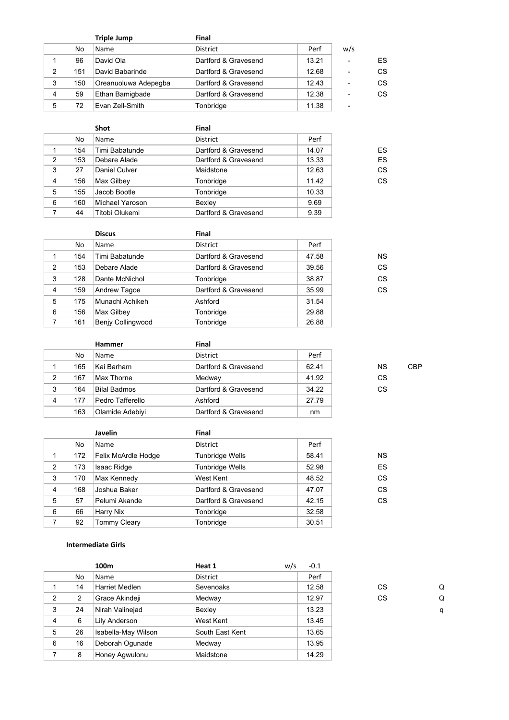|   |     | <b>Triple Jump</b>   | <b>Final</b>         |       |     |    |
|---|-----|----------------------|----------------------|-------|-----|----|
|   | No  | Name                 | <b>District</b>      | Perf  | w/s |    |
|   | 96  | David Ola            | Dartford & Gravesend | 13.21 | ۰   | ES |
| 2 | 151 | David Babarinde      | Dartford & Gravesend | 12.68 | ٠   | CS |
| 3 | 150 | Oreanuoluwa Adepegba | Dartford & Gravesend | 12.43 | ۰   | CS |
| 4 | 59  | Ethan Bamigbade      | Dartford & Gravesend | 12.38 | ۰   | CS |
| 5 | 72  | Evan Zell-Smith      | Tonbridge            | 11.38 | ٠   |    |

|                |     | <b>Shot</b>       | Final                |       |    |
|----------------|-----|-------------------|----------------------|-------|----|
|                | No. | Name              | <b>District</b>      | Perf  |    |
|                | 154 | Timi Babatunde    | Dartford & Gravesend | 14.07 | ES |
| 2              | 153 | Debare Alade      | Dartford & Gravesend | 13.33 | ES |
| 3              | 27  | Daniel Culver     | Maidstone            | 12.63 | CS |
| $\overline{4}$ | 156 | <b>Max Gilbey</b> | Tonbridge            | 11.42 | CS |
| 5              | 155 | Jacob Bootle      | Tonbridge            | 10.33 |    |
| 6              | 160 | Michael Yaroson   | Bexley               | 9.69  |    |
| 7              | 44  | Titobi Olukemi    | Dartford & Gravesend | 9.39  |    |

|                |     | <b>Discus</b>            | Final                |       |           |
|----------------|-----|--------------------------|----------------------|-------|-----------|
|                | No. | Name                     | District             | Perf  |           |
|                | 154 | Timi Babatunde           | Dartford & Gravesend | 47.58 | <b>NS</b> |
| $\overline{2}$ | 153 | Debare Alade             | Dartford & Gravesend | 39.56 | CS        |
| 3              | 128 | Dante McNichol           | Tonbridge            | 38.87 | CS        |
| 4              | 159 | Andrew Tagoe             | Dartford & Gravesend | 35.99 | CS        |
| 5              | 175 | Munachi Achikeh          | Ashford              | 31.54 |           |
| 6              | 156 | Max Gilbey               | Tonbridge            | 29.88 |           |
| 7              | 161 | <b>Beniy Collingwood</b> | Tonbridge            | 26.88 |           |

|   |     | Hammer           | Final                |       |           |            |
|---|-----|------------------|----------------------|-------|-----------|------------|
|   | No  | Name             | <b>District</b>      | Perf  |           |            |
|   | 165 | ∣Kai Barham      | Dartford & Gravesend | 62.41 | <b>NS</b> | <b>CBP</b> |
| 2 | 167 | Max Thorne       | Medway               | 41.92 | CS        |            |
| 3 | 164 | Bilal Badmos     | Dartford & Gravesend | 34.22 | <b>CS</b> |            |
| 4 | 177 | Pedro Tafferello | Ashford              | 27.79 |           |            |
|   | 163 | Olamide Adebiyi  | Dartford & Gravesend | nm    |           |            |

|   |     | Javelin             | Final                  |       |           |
|---|-----|---------------------|------------------------|-------|-----------|
|   | No  | Name                | <b>District</b>        | Perf  |           |
|   | 172 | Felix McArdle Hodge | <b>Tunbridge Wells</b> | 58.41 | <b>NS</b> |
| 2 | 173 | Isaac Ridge         | <b>Tunbridge Wells</b> | 52.98 | ES        |
| 3 | 170 | Max Kennedy         | West Kent              | 48.52 | CS        |
| 4 | 168 | Joshua Baker        | Dartford & Gravesend   | 47.07 | CS        |
| 5 | 57  | Pelumi Akande       | Dartford & Gravesend   | 42.15 | CS        |
| 6 | 66  | Harry Nix           | Tonbridge              | 32.58 |           |
| 7 | 92  | <b>Tommy Cleary</b> | Tonbridge              | 30.51 |           |

#### **Intermediate Girls**

|                |    | 100m                  | Heat 1          | w/s | $-0.1$ |           |   |
|----------------|----|-----------------------|-----------------|-----|--------|-----------|---|
|                | No | Name                  | District        |     | Perf   |           |   |
|                | 14 | <b>Harriet Medlen</b> | Sevenoaks       |     | 12.58  | <b>CS</b> | Q |
| $\overline{2}$ | 2  | Grace Akindeji        | Medway          |     | 12.97  | CS.       | Q |
| 3              | 24 | Nirah Valinejad       | Bexley          |     | 13.23  |           | q |
| $\overline{4}$ | 6  | <b>Lily Anderson</b>  | West Kent       |     | 13.45  |           |   |
| 5              | 26 | Isabella-May Wilson   | South East Kent |     | 13.65  |           |   |
| 6              | 16 | Deborah Ogunade       | Medway          |     | 13.95  |           |   |
|                | 8  | <b>Honey Agwulonu</b> | Maidstone       |     | 14.29  |           |   |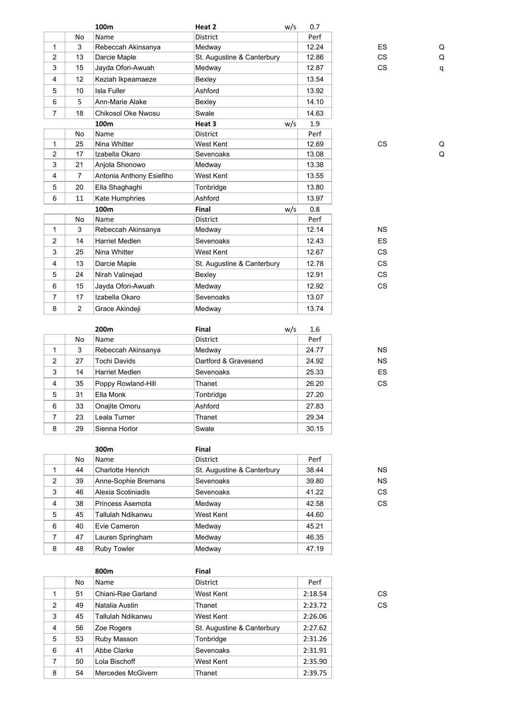|                |                | 100 <sub>m</sub>         | Heat 2                     | w/s | 0.7   |           |   |
|----------------|----------------|--------------------------|----------------------------|-----|-------|-----------|---|
|                | No             | Name                     | <b>District</b>            |     | Perf  |           |   |
| 1              | 3              | Rebeccah Akinsanya       | Medway                     |     | 12.24 | <b>ES</b> | Q |
| $\overline{2}$ | 13             | Darcie Maple             | St. Augustine & Canterbury |     | 12.86 | <b>CS</b> | Q |
| 3              | 15             | Jayda Ofori-Awuah        | Medway                     |     | 12.87 | <b>CS</b> | q |
| 4              | 12             | Keziah Ikpeamaeze        | Bexley                     |     | 13.54 |           |   |
| 5              | 10             | <b>Isla Fuller</b>       | Ashford                    |     | 13.92 |           |   |
| 6              | 5              | Ann-Marie Alake          | Bexley                     |     | 14.10 |           |   |
| $\overline{7}$ | 18             | Chikosol Oke Nwosu       | Swale                      |     | 14.63 |           |   |
|                |                | 100 <sub>m</sub>         | Heat 3                     | w/s | 1.9   |           |   |
|                | No             | Name                     | District                   |     | Perf  |           |   |
| $\mathbf{1}$   | 25             | Nina Whitter             | West Kent                  |     | 12.69 | <b>CS</b> | Q |
| $\overline{2}$ | 17             | Izabella Okaro           | Sevenoaks                  |     | 13.08 |           | Q |
| 3              | 21             | Anjola Shonowo           | Medway                     |     | 13.38 |           |   |
| 4              | $\overline{7}$ | Antonia Anthony Esiefiho | West Kent                  |     | 13.55 |           |   |
| 5              | 20             | Ella Shaghaghi           | Tonbridge                  |     | 13.80 |           |   |
| 6              | 11             | Kate Humphries           | Ashford                    |     | 13.97 |           |   |
|                |                | 100 <sub>m</sub>         | Final                      | w/s | 0.8   |           |   |
|                | No             | Name                     | <b>District</b>            |     | Perf  |           |   |
| 1              | 3              | Rebeccah Akinsanya       | Medway                     |     | 12.14 | <b>NS</b> |   |
| $\overline{2}$ | 14             | <b>Harriet Medlen</b>    | Sevenoaks                  |     | 12.43 | <b>ES</b> |   |
| 3              | 25             | Nina Whitter             | West Kent                  |     | 12.67 | <b>CS</b> |   |
| $\overline{4}$ | 13             | Darcie Maple             | St. Augustine & Canterbury |     | 12.78 | <b>CS</b> |   |
| 5              | 24             | Nirah Valinejad          | Bexley                     |     | 12.91 | <b>CS</b> |   |
| 6              | 15             | Jayda Ofori-Awuah        | Medway                     |     | 12.92 | <b>CS</b> |   |
| $\overline{7}$ | 17             | Izabella Okaro           | Sevenoaks                  |     | 13.07 |           |   |
| 8              | 2              | Grace Akindeji           | Medway                     |     | 13.74 |           |   |

|                         |    | 200 <sub>m</sub>      | <b>Final</b>         | w/s | 1.6   |           |
|-------------------------|----|-----------------------|----------------------|-----|-------|-----------|
|                         | No | Name                  | District             |     | Perf  |           |
| 1                       | 3  | Rebeccah Akinsanya    | Medway               |     | 24.77 | <b>NS</b> |
| 2                       | 27 | <b>Tochi Davids</b>   | Dartford & Gravesend |     | 24.92 | <b>NS</b> |
| 3                       | 14 | <b>Harriet Medlen</b> | Sevenoaks            |     | 25.33 | ES        |
| $\overline{\mathbf{4}}$ | 35 | Poppy Rowland-Hill    | Thanet               |     | 26.20 | CS        |
| 5                       | 31 | Ella Monk             | Tonbridge            |     | 27.20 |           |
| 6                       | 33 | Onajite Omoru         | Ashford              |     | 27.83 |           |
| 7                       | 23 | Leala Turner          | Thanet               |     | 29.34 |           |
| 8                       | 29 | Sienna Horlor         | Swale                |     | 30.15 |           |

|   |    | 300m                     | Final                      |       |           |
|---|----|--------------------------|----------------------------|-------|-----------|
|   | No | Name                     | <b>District</b>            | Perf  |           |
|   | 44 | <b>Charlotte Henrich</b> | St. Augustine & Canterbury | 38.44 | <b>NS</b> |
| 2 | 39 | Anne-Sophie Bremans      | Sevenoaks                  | 39.80 | <b>NS</b> |
| 3 | 46 | Alexia Scotiniadis       | Sevenoaks                  | 41.22 | CS        |
| 4 | 38 | Princess Asemota         | Medway                     | 42.58 | CS        |
| 5 | 45 | Tallulah Ndikanwu        | West Kent                  | 44.60 |           |
| 6 | 40 | Evie Cameron             | Medway                     | 45.21 |           |
| 7 | 47 | Lauren Springham         | Medway                     | 46.35 |           |
| 8 | 48 | <b>Ruby Towler</b>       | Medway                     | 47.19 |           |

|                |    | 800m               | Final                      |         |    |
|----------------|----|--------------------|----------------------------|---------|----|
|                | No | Name               | District                   | Perf    |    |
| 1              | 51 | Chiani-Rae Garland | West Kent                  | 2:18.54 | CS |
| 2              | 49 | Natalia Austin     | Thanet                     | 2:23.72 | CS |
| 3              | 45 | Tallulah Ndikanwu  | West Kent                  | 2:26.06 |    |
| 4              | 56 | Zoe Rogers         | St. Augustine & Canterbury | 2:27.62 |    |
| 5              | 53 | Ruby Masson        | Tonbridge                  | 2:31.26 |    |
| 6              | 41 | Abbe Clarke        | Sevenoaks                  | 2:31.91 |    |
| $\overline{7}$ | 50 | Lola Bischoff      | West Kent                  | 2:35.90 |    |
| 8              | 54 | Mercedes McGivern  | Thanet                     | 2:39.75 |    |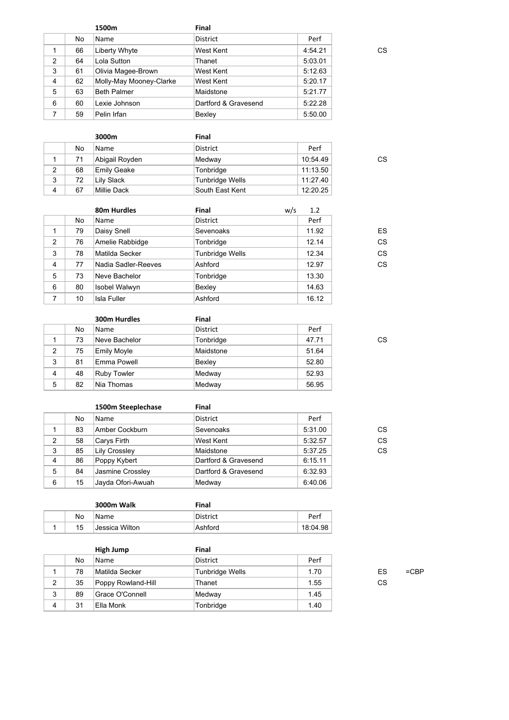|                |    | 1500m                   | Final                |         |    |
|----------------|----|-------------------------|----------------------|---------|----|
|                | No | Name                    | <b>District</b>      | Perf    |    |
|                | 66 | Liberty Whyte           | West Kent            | 4:54.21 | СS |
| $\overline{2}$ | 64 | Lola Sutton             | Thanet               | 5:03.01 |    |
| 3              | 61 | Olivia Magee-Brown      | West Kent            | 5:12.63 |    |
| 4              | 62 | Molly-May Mooney-Clarke | West Kent            | 5:20.17 |    |
| 5              | 63 | <b>Beth Palmer</b>      | Maidstone            | 5:21.77 |    |
| 6              | 60 | Lexie Johnson           | Dartford & Gravesend | 5:22.28 |    |
|                | 59 | Pelin Irfan             | Bexley               | 5:50.00 |    |
|                |    |                         |                      |         |    |

|   |    | 3000m              | Final           |          |    |
|---|----|--------------------|-----------------|----------|----|
|   | No | Name               | District        | Perf     |    |
|   | 71 | Abigail Royden     | Medway          | 10:54.49 | CS |
| 2 | 68 | <b>Emily Geake</b> | Tonbridge       | 11:13.50 |    |
| 3 | 72 | Lily Slack         | Tunbridge Wells | 11:27.40 |    |
| 4 | 67 | Millie Dack        | South East Kent | 12:20.25 |    |

|   |     | 80m Hurdles         | <b>Final</b>           | w/s | 1.2   |
|---|-----|---------------------|------------------------|-----|-------|
|   | No. | Name                | <b>District</b>        |     | Perf  |
|   | 79  | Daisy Snell         | Sevenoaks              |     | 11.92 |
| 2 | 76  | Amelie Rabbidge     | Tonbridge              |     | 12.14 |
| 3 | 78  | Matilda Secker      | <b>Tunbridge Wells</b> |     | 12.34 |
| 4 | 77  | Nadia Sadler-Reeves | Ashford                |     | 12.97 |
| 5 | 73  | Neve Bachelor       | Tonbridge              |     | 13.30 |
| 6 | 80  | Isobel Walwyn       | Bexley                 |     | 14.63 |
| 7 | 10  | <b>Isla Fuller</b>  | Ashford                |     | 16.12 |

|                |    | 300m Hurdles       | Final           |       |    |
|----------------|----|--------------------|-----------------|-------|----|
|                | No | Name               | <b>District</b> | Perf  |    |
|                | 73 | Neve Bachelor      | Tonbridge       | 47.71 | СS |
| 2              | 75 | Emily Moyle        | Maidstone       | 51.64 |    |
| 3              | 81 | Emma Powell        | Bexley          | 52.80 |    |
| $\overline{4}$ | 48 | <b>Ruby Towler</b> | Medway          | 52.93 |    |
| 5              | 82 | Nia Thomas         | Medway          | 56.95 |    |

|                |     | 1500m Steeplechase   | <b>Final</b>         |         |    |
|----------------|-----|----------------------|----------------------|---------|----|
|                | No. | Name                 | District             | Perf    |    |
|                | 83  | Amber Cockburn       | Sevenoaks            | 5:31.00 | CS |
| $\overline{2}$ | 58  | Carys Firth          | West Kent            | 5:32.57 | CS |
| 3              | 85  | <b>Lily Crossley</b> | Maidstone            | 5:37.25 | CS |
| 4              | 86  | Poppy Kybert         | Dartford & Gravesend | 6:15.11 |    |
| 5              | 84  | Jasmine Crossley     | Dartford & Gravesend | 6:32.93 |    |
| 6              | 15  | Jayda Ofori-Awuah    | Medway               | 6:40.06 |    |

|  |    | 3000m Walk     | Final    |          |
|--|----|----------------|----------|----------|
|  | No | Name           | District | Perf     |
|  | 15 | Jessica Wilton | Ashford  | 18:04.98 |

|   |    | High Jump          | Final           |      |    |         |
|---|----|--------------------|-----------------|------|----|---------|
|   | No | Name               | District        | Perf |    |         |
|   | 78 | Matilda Secker     | Tunbridge Wells | 1.70 | ES | $=$ CBP |
| 2 | 35 | Poppy Rowland-Hill | Thanet          | 1.55 | CS |         |
| 3 | 89 | Grace O'Connell    | Medway          | 1.45 |    |         |
| 4 | 31 | Ella Monk          | Tonbridge       | 1.40 |    |         |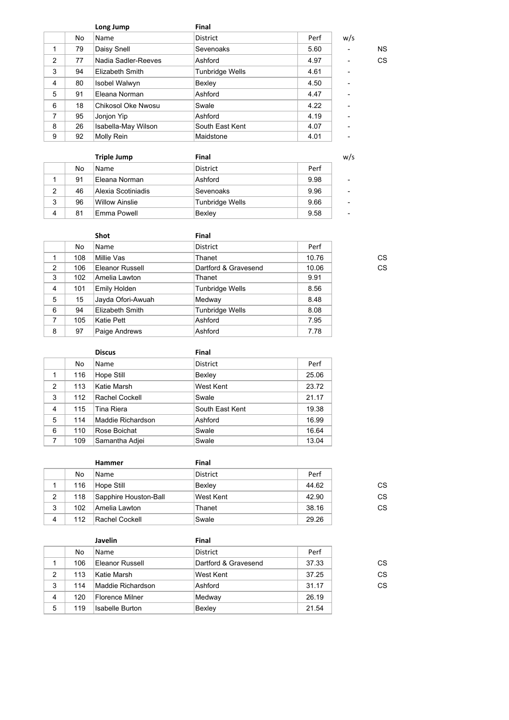|   |    | Long Jump           | Final                  |      |     |           |
|---|----|---------------------|------------------------|------|-----|-----------|
|   | No | Name                | <b>District</b>        | Perf | w/s |           |
| 1 | 79 | Daisy Snell         | Sevenoaks              | 5.60 | ۰   | <b>NS</b> |
| 2 | 77 | Nadia Sadler-Reeves | Ashford                | 4.97 | ۰   | CS        |
| 3 | 94 | Elizabeth Smith     | <b>Tunbridge Wells</b> | 4.61 | ۰   |           |
| 4 | 80 | Isobel Walwyn       | Bexley                 | 4.50 | ۰   |           |
| 5 | 91 | Eleana Norman       | Ashford                | 4.47 | ۰   |           |
| 6 | 18 | Chikosol Oke Nwosu  | Swale                  | 4.22 | ۰   |           |
| 7 | 95 | Jonjon Yip          | Ashford                | 4.19 | ۰   |           |
| 8 | 26 | Isabella-May Wilson | South East Kent        | 4.07 | -   |           |
| 9 | 92 | Molly Rein          | Maidstone              | 4.01 | ٠   |           |
|   |    |                     |                        |      |     |           |

|                |    | <b>Triple Jump</b>    | Final           |      | w/s                      |
|----------------|----|-----------------------|-----------------|------|--------------------------|
|                | No | Name                  | <b>District</b> | Perf |                          |
|                | 91 | Eleana Norman         | Ashford         | 9.98 | -                        |
| $\overline{2}$ | 46 | Alexia Scotiniadis    | Sevenoaks       | 9.96 | $\overline{\phantom{a}}$ |
| 3              | 96 | <b>Willow Ainslie</b> | Tunbridge Wells | 9.66 |                          |
| 4              | 81 | Emma Powell           | Bexley          | 9.58 | -                        |

|   |     | <b>Shot</b>       | <b>Final</b>           |       |    |
|---|-----|-------------------|------------------------|-------|----|
|   | No  | Name              | <b>District</b>        | Perf  |    |
|   | 108 | Millie Vas        | Thanet                 | 10.76 | СS |
| 2 | 106 | Eleanor Russell   | Dartford & Gravesend   | 10.06 | CS |
| 3 | 102 | Amelia Lawton     | Thanet                 | 9.91  |    |
| 4 | 101 | Emily Holden      | Tunbridge Wells        | 8.56  |    |
| 5 | 15  | Jayda Ofori-Awuah | Medway                 | 8.48  |    |
| 6 | 94  | Elizabeth Smith   | <b>Tunbridge Wells</b> | 8.08  |    |
| 7 | 105 | Katie Pett        | Ashford                | 7.95  |    |
| 8 | 97  | Paige Andrews     | Ashford                | 7.78  |    |

|                |     | <b>Discus</b>         | Final           |       |
|----------------|-----|-----------------------|-----------------|-------|
|                | No  | Name                  | <b>District</b> | Perf  |
|                | 116 | Hope Still            | Bexley          | 25.06 |
| $\mathcal{P}$  | 113 | Katie Marsh           | West Kent       | 23.72 |
| 3              | 112 | <b>Rachel Cockell</b> | Swale           | 21.17 |
| 4              | 115 | <b>Tina Riera</b>     | South East Kent | 19.38 |
| 5              | 114 | Maddie Richardson     | Ashford         | 16.99 |
| 6              | 110 | Rose Boichat          | Swale           | 16.64 |
| $\overline{7}$ | 109 | Samantha Adjei        | Swale           | 13.04 |

|     | Hammer                | Final           |       |    |
|-----|-----------------------|-----------------|-------|----|
| No  | Name                  | <b>District</b> | Perf  |    |
| 116 | Hope Still            | Bexley          | 44.62 | СS |
| 118 | Sapphire Houston-Ball | West Kent       | 42.90 | CS |
| 102 | Amelia Lawton         | Thanet          | 38.16 | СS |
| 112 | Rachel Cockell        | Swale           | 29.26 |    |
|     |                       |                 |       |    |

|   |     | Javelin                | Final                |       |    |
|---|-----|------------------------|----------------------|-------|----|
|   | No  | Name                   | <b>District</b>      | Perf  |    |
|   | 106 | Eleanor Russell        | Dartford & Gravesend | 37.33 | CS |
| 2 | 113 | Katie Marsh            | West Kent            | 37.25 | CS |
| 3 | 114 | Maddie Richardson      | Ashford              | 31.17 | CS |
| 4 | 120 | Florence Milner        | Medway               | 26.19 |    |
| 5 | 119 | <b>Isabelle Burton</b> | Bexley               | 21.54 |    |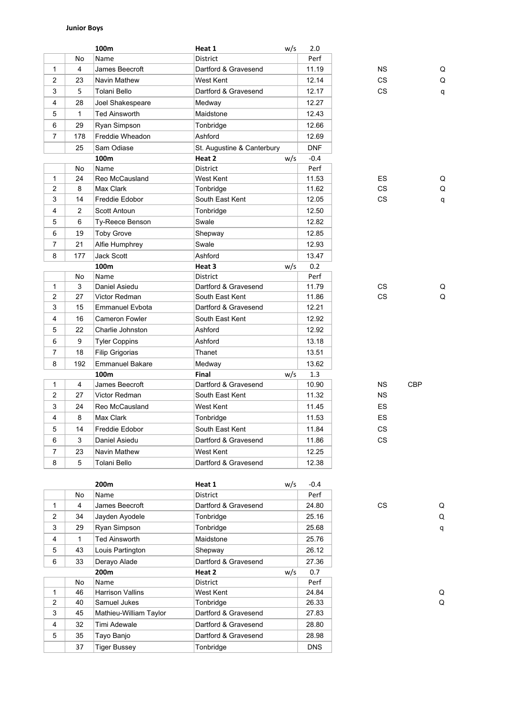## **Junior Boys**

|                |                | 100m                   | Heat 1                     | w/s | 2.0        |           |            |
|----------------|----------------|------------------------|----------------------------|-----|------------|-----------|------------|
|                | No             | Name                   | <b>District</b>            |     | Perf       |           |            |
| $\mathbf{1}$   | $\overline{4}$ | James Beecroft         | Dartford & Gravesend       |     | 11.19      | NS.       | Q          |
| $\overline{2}$ | 23             | Navin Mathew           | West Kent                  |     | 12.14      | <b>CS</b> | Q          |
| 3              | 5              | Tolani Bello           | Dartford & Gravesend       |     | 12.17      | СS        | q          |
| 4              | 28             | Joel Shakespeare       | Medway                     |     | 12.27      |           |            |
| 5              | $\mathbf{1}$   | <b>Ted Ainsworth</b>   | Maidstone                  |     | 12.43      |           |            |
| 6              | 29             | Ryan Simpson           | Tonbridge                  |     | 12.66      |           |            |
| 7              | 178            | Freddie Wheadon        | Ashford                    |     | 12.69      |           |            |
|                | 25             | Sam Odiase             | St. Augustine & Canterbury |     | <b>DNF</b> |           |            |
|                |                | 100m                   | Heat 2                     | w/s | $-0.4$     |           |            |
|                | No             | Name                   | <b>District</b>            |     | Perf       |           |            |
| $\mathbf{1}$   | 24             | Reo McCausland         | West Kent                  |     | 11.53      | ES        | Q          |
| $\overline{c}$ | 8              | Max Clark              | Tonbridge                  |     | 11.62      | <b>CS</b> | Q          |
| 3              | 14             | Freddie Edobor         | South East Kent            |     | 12.05      | СS        | q          |
| 4              | 2              | Scott Antoun           | Tonbridge                  |     | 12.50      |           |            |
| 5              | 6              | Ty-Reece Benson        | Swale                      |     | 12.82      |           |            |
| 6              | 19             | <b>Toby Grove</b>      | Shepway                    |     | 12.85      |           |            |
| 7              | 21             | Alfie Humphrey         | Swale                      |     | 12.93      |           |            |
| 8              | 177            | <b>Jack Scott</b>      | Ashford                    |     | 13.47      |           |            |
|                |                | 100m                   | Heat 3                     | w/s | 0.2        |           |            |
|                | No             | Name                   | <b>District</b>            |     | Perf       |           |            |
| $\mathbf{1}$   | 3              | Daniel Asiedu          | Dartford & Gravesend       |     | 11.79      | CS.       | Q          |
| $\overline{2}$ | 27             | Victor Redman          | South East Kent            |     | 11.86      | CS.       | Q          |
| 3              | 15             | Emmanuel Evbota        | Dartford & Gravesend       |     | 12.21      |           |            |
| 4              | 16             | <b>Cameron Fowler</b>  | South East Kent            |     | 12.92      |           |            |
| 5              | 22             | Charlie Johnston       | Ashford                    |     | 12.92      |           |            |
| 6              | 9              | <b>Tyler Coppins</b>   | Ashford                    |     | 13.18      |           |            |
| $\overline{7}$ | 18             | Filip Grigorias        | Thanet                     |     | 13.51      |           |            |
| 8              | 192            | <b>Emmanuel Bakare</b> | Medway                     |     | 13.62      |           |            |
|                |                | 100m                   | Final                      | w/s | 1.3        |           |            |
| $\mathbf{1}$   | $\overline{4}$ | James Beecroft         | Dartford & Gravesend       |     | 10.90      | NS.       | <b>CBP</b> |
| $\overline{2}$ | 27             | Victor Redman          | South East Kent            |     | 11.32      | ΝS        |            |
| 3              | 24             | Reo McCausland         | West Kent                  |     | 11.45      | ES        |            |
| 4              | 8              | Max Clark              | Tonbridge                  |     | 11.53      | ES        |            |
| 5              | 14             | Freddie Edobor         | South East Kent            |     | 11.84      | CS        |            |
| 6              | 3              | Daniel Asiedu          | Dartford & Gravesend       |     | 11.86      | CS.       |            |
| $\overline{7}$ | 23             | Navin Mathew           | West Kent                  |     | 12.25      |           |            |
| 8              | 5              | Tolani Bello           | Dartford & Gravesend       |     | 12.38      |           |            |
|                |                |                        |                            |     |            |           |            |

|                |              | 200 <sub>m</sub>        | Heat 1               | w/s | $-0.4$     |     |   |
|----------------|--------------|-------------------------|----------------------|-----|------------|-----|---|
|                | No.          | Name                    | <b>District</b>      |     | Perf       |     |   |
| 1              | 4            | James Beecroft          | Dartford & Gravesend |     | 24.80      | CS. | Q |
| $\overline{2}$ | 34           | Jayden Ayodele          | Tonbridge            |     | 25.16      |     | Q |
| 3              | 29           | Ryan Simpson            | Tonbridge            |     | 25.68      |     | q |
| 4              | $\mathbf{1}$ | <b>Ted Ainsworth</b>    | Maidstone            |     | 25.76      |     |   |
| 5              | 43           | Louis Partington        | Shepway              |     | 26.12      |     |   |
| 6              | 33           | Derayo Alade            | Dartford & Gravesend |     | 27.36      |     |   |
|                |              | 200 <sub>m</sub>        | Heat 2               | w/s | 0.7        |     |   |
|                | No           | Name                    | District             |     | Perf       |     |   |
| 1.             | 46           | <b>Harrison Vallins</b> | West Kent            |     | 24.84      |     | Q |
| $\overline{2}$ | 40           | Samuel Jukes            | Tonbridge            |     | 26.33      |     | Q |
| 3              | 45           | Mathieu-William Taylor  | Dartford & Gravesend |     | 27.83      |     |   |
| $\overline{4}$ | 32           | Timi Adewale            | Dartford & Gravesend |     | 28.80      |     |   |
| 5              | 35           | Tayo Banjo              | Dartford & Gravesend |     | 28.98      |     |   |
|                | 37           | Tiger Bussey            | Tonbridge            |     | <b>DNS</b> |     |   |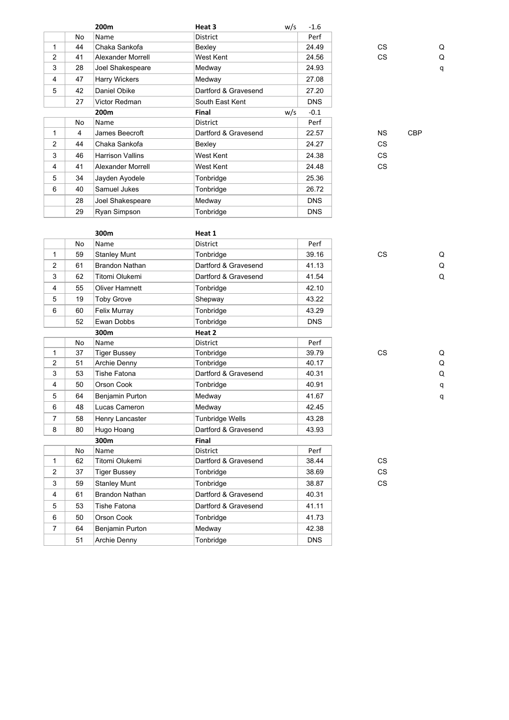|                |    | 200 <sub>m</sub>        | Heat 3               | w/s | $-1.6$     |           |            |   |
|----------------|----|-------------------------|----------------------|-----|------------|-----------|------------|---|
|                | No | Name                    | <b>District</b>      |     | Perf       |           |            |   |
| 1              | 44 | Chaka Sankofa           | Bexley               |     | 24.49      | CS.       |            | Q |
| $\overline{2}$ | 41 | Alexander Morrell       | West Kent            |     | 24.56      | CS.       |            | Q |
| 3              | 28 | Joel Shakespeare        | Medway               |     | 24.93      |           |            | q |
| 4              | 47 | <b>Harry Wickers</b>    | Medway               |     | 27.08      |           |            |   |
| 5              | 42 | Daniel Obike            | Dartford & Gravesend |     | 27.20      |           |            |   |
|                | 27 | Victor Redman           | South East Kent      |     | <b>DNS</b> |           |            |   |
|                |    | 200m                    | Final                | w/s | $-0.1$     |           |            |   |
|                | No | Name                    | District             |     | Perf       |           |            |   |
| 1              | 4  | James Beecroft          | Dartford & Gravesend |     | 22.57      | <b>NS</b> | <b>CBP</b> |   |
| $\overline{2}$ | 44 | Chaka Sankofa           | Bexley               |     | 24.27      | CS.       |            |   |
| 3              | 46 | <b>Harrison Vallins</b> | West Kent            |     | 24.38      | CS.       |            |   |
| 4              | 41 | Alexander Morrell       | West Kent            |     | 24.48      | CS        |            |   |
| 5              | 34 | Jayden Ayodele          | Tonbridge            |     | 25.36      |           |            |   |
| 6              | 40 | Samuel Jukes            | Tonbridge            |     | 26.72      |           |            |   |
|                | 28 | Joel Shakespeare        | Medway               |     | <b>DNS</b> |           |            |   |
|                | 29 | Ryan Simpson            | Tonbridge            |     | <b>DNS</b> |           |            |   |

|                |    | 300m                  | Heat 1                 |            |           |             |
|----------------|----|-----------------------|------------------------|------------|-----------|-------------|
|                | No | Name                  | <b>District</b>        | Perf       |           |             |
| $\mathbf{1}$   | 59 | <b>Stanley Munt</b>   | Tonbridge              | 39.16      | <b>CS</b> | Q           |
| 2              | 61 | <b>Brandon Nathan</b> | Dartford & Gravesend   | 41.13      |           | Q           |
| 3              | 62 | Titomi Olukemi        | Dartford & Gravesend   | 41.54      |           | $\Omega$    |
| 4              | 55 | <b>Oliver Hamnett</b> | Tonbridge              | 42.10      |           |             |
| 5              | 19 | <b>Toby Grove</b>     | Shepway                | 43.22      |           |             |
| 6              | 60 | Felix Murray          | Tonbridge              | 43.29      |           |             |
|                | 52 | Ewan Dobbs            | Tonbridge              | <b>DNS</b> |           |             |
|                |    | 300m                  | Heat 2                 |            |           |             |
|                | No | Name                  | <b>District</b>        | Perf       |           |             |
| $\mathbf{1}$   | 37 | <b>Tiger Bussey</b>   | Tonbridge              | 39.79      | <b>CS</b> | Q           |
| $\overline{2}$ | 51 | Archie Denny          | Tonbridge              | 40.17      |           | $\sf Q$     |
| 3              | 53 | <b>Tishe Fatona</b>   | Dartford & Gravesend   | 40.31      |           | $\mathsf Q$ |
| $\overline{4}$ | 50 | Orson Cook            | Tonbridge              | 40.91      |           | q           |
| 5              | 64 | Benjamin Purton       | Medway                 | 41.67      |           | q           |
| 6              | 48 | Lucas Cameron         | Medway                 | 42.45      |           |             |
| $\overline{7}$ | 58 | Henry Lancaster       | <b>Tunbridge Wells</b> | 43.28      |           |             |
| 8              | 80 | Hugo Hoang            | Dartford & Gravesend   | 43.93      |           |             |
|                |    | 300m                  | Final                  |            |           |             |
|                | No | Name                  | <b>District</b>        | Perf       |           |             |
| $\mathbf{1}$   | 62 | Titomi Olukemi        | Dartford & Gravesend   | 38.44      | <b>CS</b> |             |
| 2              | 37 | <b>Tiger Bussey</b>   | Tonbridge              | 38.69      | <b>CS</b> |             |
| 3              | 59 | <b>Stanley Munt</b>   | Tonbridge              | 38.87      | <b>CS</b> |             |
| 4              | 61 | <b>Brandon Nathan</b> | Dartford & Gravesend   | 40.31      |           |             |
| 5              | 53 | <b>Tishe Fatona</b>   | Dartford & Gravesend   | 41.11      |           |             |
| 6              | 50 | Orson Cook            | Tonbridge              | 41.73      |           |             |
| $\overline{7}$ | 64 | Benjamin Purton       | Medway                 | 42.38      |           |             |
|                | 51 | <b>Archie Denny</b>   | Tonbridge              | <b>DNS</b> |           |             |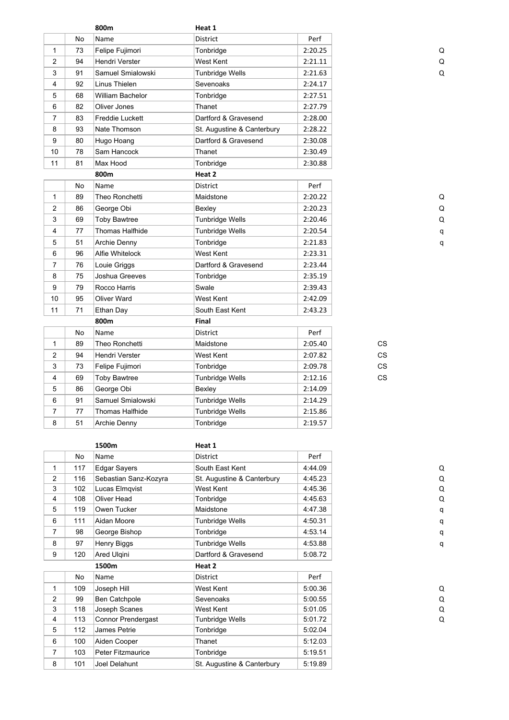|                |    | 800m                   | Heat 1                     |         |           |             |
|----------------|----|------------------------|----------------------------|---------|-----------|-------------|
|                | No | Name                   | District                   | Perf    |           |             |
| $\mathbf{1}$   | 73 | Felipe Fujimori        | Tonbridge                  | 2:20.25 |           | Q           |
| $\overline{2}$ | 94 | Hendri Verster         | West Kent                  | 2:21.11 |           | Q           |
| 3              | 91 | Samuel Smialowski      | Tunbridge Wells            | 2:21.63 |           | $\Omega$    |
| 4              | 92 | Linus Thielen          | Sevenoaks                  | 2:24.17 |           |             |
| 5              | 68 | William Bachelor       | Tonbridge                  | 2:27.51 |           |             |
| 6              | 82 | Oliver Jones           | Thanet                     | 2:27.79 |           |             |
| $\overline{7}$ | 83 | <b>Freddie Luckett</b> | Dartford & Gravesend       | 2:28.00 |           |             |
| 8              | 93 | Nate Thomson           | St. Augustine & Canterbury | 2:28.22 |           |             |
| 9              | 80 | Hugo Hoang             | Dartford & Gravesend       | 2:30.08 |           |             |
| 10             | 78 | Sam Hancock            | Thanet                     | 2:30.49 |           |             |
| 11             | 81 | Max Hood               | Tonbridge                  | 2:30.88 |           |             |
|                |    | 800m                   | Heat 2                     |         |           |             |
|                | No | Name                   | <b>District</b>            | Perf    |           |             |
| $\mathbf{1}$   | 89 | Theo Ronchetti         | Maidstone                  | 2:20.22 |           | Q           |
| $\overline{2}$ | 86 | George Obi             | Bexley                     | 2:20.23 |           | Q           |
| 3              | 69 | <b>Toby Bawtree</b>    | <b>Tunbridge Wells</b>     | 2:20.46 |           | $\mathsf Q$ |
| 4              | 77 | Thomas Halfhide        | <b>Tunbridge Wells</b>     | 2:20.54 |           | q           |
| 5              | 51 | Archie Denny           | Tonbridge                  | 2:21.83 |           | q           |
| 6              | 96 | Alfie Whitelock        | West Kent                  | 2:23.31 |           |             |
| $\overline{7}$ | 76 | Louie Griggs           | Dartford & Gravesend       | 2:23.44 |           |             |
| 8              | 75 | Joshua Greeves         | Tonbridge                  | 2:35.19 |           |             |
| 9              | 79 | Rocco Harris           | Swale                      | 2:39.43 |           |             |
| 10             | 95 | Oliver Ward            | West Kent                  | 2:42.09 |           |             |
| 11             | 71 | Ethan Day              | South East Kent            | 2:43.23 |           |             |
|                |    | 800m                   | <b>Final</b>               |         |           |             |
|                | No | Name                   | District                   | Perf    |           |             |
| $\mathbf{1}$   | 89 | Theo Ronchetti         | Maidstone                  | 2:05.40 | CS        |             |
| 2              | 94 | Hendri Verster         | West Kent                  | 2:07.82 | СS        |             |
| 3              | 73 | Felipe Fujimori        | Tonbridge                  | 2:09.78 | <b>CS</b> |             |
| 4              | 69 | Toby Bawtree           | <b>Tunbridge Wells</b>     | 2:12.16 | <b>CS</b> |             |
| 5              | 86 | George Obi             | Bexley                     | 2:14.09 |           |             |
| 6              | 91 | Samuel Smialowski      | Tunbridge Wells            | 2:14.29 |           |             |
| $\overline{7}$ | 77 | Thomas Halfhide        | Tunbridge Wells            | 2:15.86 |           |             |
| 8              | 51 | Archie Denny           | Tonbridge                  | 2:19.57 |           |             |

|                |     | 1500m                     | Heat 1                     |         |   |
|----------------|-----|---------------------------|----------------------------|---------|---|
|                | No  | Name                      | District                   | Perf    |   |
| 1              | 117 | <b>Edgar Sayers</b>       | South East Kent            | 4:44.09 | Q |
| $\overline{2}$ | 116 | Sebastian Sanz-Kozyra     | St. Augustine & Canterbury | 4:45.23 | Q |
| 3              | 102 | Lucas Elmqvist            | West Kent                  | 4:45.36 | Q |
| 4              | 108 | Oliver Head               | Tonbridge                  | 4:45.63 | Q |
| 5              | 119 | Owen Tucker               | Maidstone                  | 4:47.38 |   |
| 6              | 111 | Aidan Moore               | Tunbridge Wells            | 4:50.31 |   |
| 7              | 98  | George Bishop             | Tonbridge                  | 4:53.14 |   |
| 8              | 97  | Henry Biggs               | <b>Tunbridge Wells</b>     | 4:53.88 |   |
| 9              | 120 | Ared Ulgini               | Dartford & Gravesend       | 5:08.72 |   |
|                |     | 1500m                     | Heat 2                     |         |   |
|                | No  | Name                      | <b>District</b>            | Perf    |   |
| 1              | 109 | Joseph Hill               | West Kent                  | 5:00.36 | Q |
| $\overline{2}$ | 99  | Ben Catchpole             | Sevenoaks                  | 5:00.55 | Q |
| 3              | 118 | Joseph Scanes             | West Kent                  | 5:01.05 | Q |
| 4              | 113 | <b>Connor Prendergast</b> | <b>Tunbridge Wells</b>     | 5:01.72 | Q |
| 5              | 112 | James Petrie              | Tonbridge                  | 5:02.04 |   |
| 6              | 100 | Aiden Cooper              | Thanet                     | 5:12.03 |   |
| 7              | 103 | <b>Peter Fitzmaurice</b>  | Tonbridge                  | 5:19.51 |   |
| 8              | 101 | Joel Delahunt             | St. Augustine & Canterbury | 5:19.89 |   |
|                |     |                           |                            |         |   |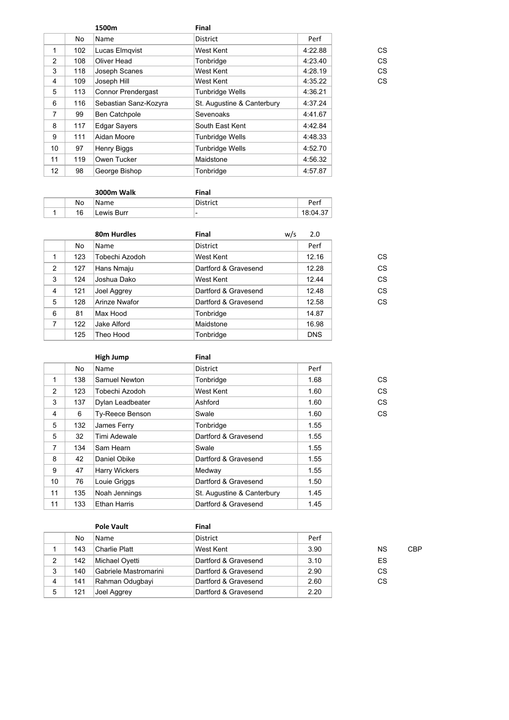|                |     | 1500m                     | Final                      |         |    |
|----------------|-----|---------------------------|----------------------------|---------|----|
|                | No  | Name                      | <b>District</b>            | Perf    |    |
| 1              | 102 | Lucas Elmqvist            | West Kent                  | 4:22.88 | СS |
| 2              | 108 | Oliver Head               | Tonbridge                  | 4:23.40 | CS |
| 3              | 118 | Joseph Scanes             | West Kent                  | 4:28.19 | CS |
| 4              | 109 | Joseph Hill               | West Kent                  | 4:35.22 | CS |
| 5              | 113 | <b>Connor Prendergast</b> | <b>Tunbridge Wells</b>     | 4:36.21 |    |
| 6              | 116 | Sebastian Sanz-Kozyra     | St. Augustine & Canterbury | 4:37.24 |    |
| $\overline{7}$ | 99  | Ben Catchpole             | <b>Sevenoaks</b>           | 4:41.67 |    |
| 8              | 117 | <b>Edgar Sayers</b>       | South East Kent            | 4:42.84 |    |
| 9              | 111 | Aidan Moore               | <b>Tunbridge Wells</b>     | 4:48.33 |    |
| 10             | 97  | Henry Biggs               | <b>Tunbridge Wells</b>     | 4:52.70 |    |
| 11             | 119 | Owen Tucker               | Maidstone                  | 4:56.32 |    |
| 12             | 98  | George Bishop             | Tonbridge                  | 4:57.87 |    |

|  |    | 3000m Walk | Final    |         |
|--|----|------------|----------|---------|
|  | No | Name       | District | Perf    |
|  | 16 | Lewis Burr | -        | 18:04.3 |

|   |     | 80m Hurdles    | <b>Final</b>         | w/s | 2.0        |
|---|-----|----------------|----------------------|-----|------------|
|   | No  | Name           | District             |     | Perf       |
| 1 | 123 | Tobechi Azodoh | West Kent            |     | 12.16      |
| 2 | 127 | Hans Nmaju     | Dartford & Gravesend |     | 12.28      |
| 3 | 124 | Joshua Dako    | West Kent            |     | 12.44      |
| 4 | 121 | Joel Aggrey    | Dartford & Gravesend |     | 12.48      |
| 5 | 128 | Arinze Nwafor  | Dartford & Gravesend |     | 12.58      |
| 6 | 81  | Max Hood       | Tonbridge            |     | 14.87      |
| 7 | 122 | Jake Alford    | Maidstone            |     | 16.98      |
|   | 125 | Theo Hood      | Tonbridge            |     | <b>DNS</b> |

|                 |     | High Jump              | Final                      |      |    |
|-----------------|-----|------------------------|----------------------------|------|----|
|                 | No  | Name                   | District                   | Perf |    |
| 1               | 138 | Samuel Newton          | Tonbridge                  | 1.68 | CS |
| 2               | 123 | Tobechi Azodoh         | West Kent                  | 1.60 | CS |
| 3               | 137 | Dylan Leadbeater       | Ashford                    | 1.60 | CS |
| 4               | 6   | <b>Ty-Reece Benson</b> | Swale                      | 1.60 | CS |
| 5               | 132 | James Ferry            | Tonbridge                  | 1.55 |    |
| 5               | 32  | Timi Adewale           | Dartford & Gravesend       | 1.55 |    |
| $\overline{7}$  | 134 | Sam Hearn              | Swale                      | 1.55 |    |
| 8               | 42  | Daniel Obike           | Dartford & Gravesend       | 1.55 |    |
| 9               | 47  | Harry Wickers          | Medway                     | 1.55 |    |
| 10 <sup>1</sup> | 76  | Louie Griggs           | Dartford & Gravesend       | 1.50 |    |
| 11              | 135 | Noah Jennings          | St. Augustine & Canterbury | 1.45 |    |
| 11              | 133 | <b>Ethan Harris</b>    | Dartford & Gravesend       | 1.45 |    |

|   |     | <b>Pole Vault</b>     | Final                |      |    |     |
|---|-----|-----------------------|----------------------|------|----|-----|
|   | No  | Name                  | District             | Perf |    |     |
|   | 143 | Charlie Platt         | West Kent            | 3.90 | ΝS | CBP |
| 2 | 142 | Michael Oyetti        | Dartford & Gravesend | 3.10 | ES |     |
| 3 | 140 | Gabriele Mastromarini | Dartford & Gravesend | 2.90 | СS |     |
| 4 | 141 | Rahman Odugbayi       | Dartford & Gravesend | 2.60 | СS |     |
| 5 | 121 | Joel Aggrey           | Dartford & Gravesend | 2.20 |    |     |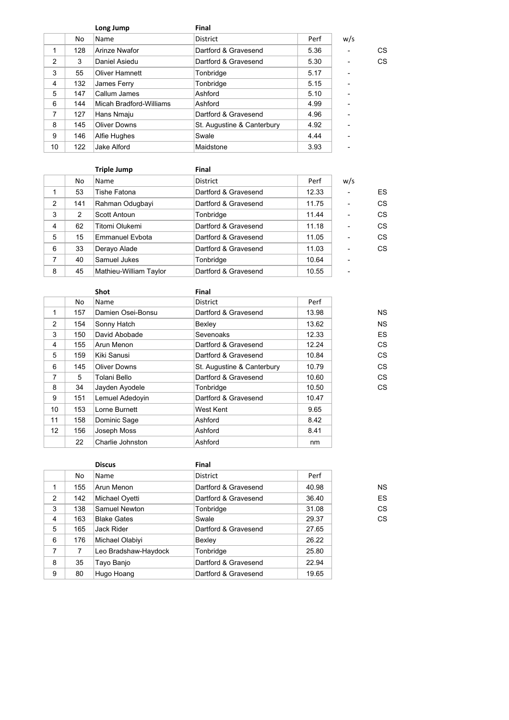|                |     | Long Jump               | Final                      |      |     |    |
|----------------|-----|-------------------------|----------------------------|------|-----|----|
|                | No. | Name                    | <b>District</b>            | Perf | w/s |    |
| 1              | 128 | Arinze Nwafor           | Dartford & Gravesend       | 5.36 |     | CS |
| $\overline{2}$ | 3   | Daniel Asiedu           | Dartford & Gravesend       | 5.30 |     | CS |
| 3              | 55  | <b>Oliver Hamnett</b>   | Tonbridge                  | 5.17 | ۰   |    |
| 4              | 132 | James Ferry             | Tonbridge                  | 5.15 | ۰   |    |
| 5              | 147 | Callum James            | Ashford                    | 5.10 | ۰   |    |
| 6              | 144 | Micah Bradford-Williams | Ashford                    | 4.99 |     |    |
| $\overline{7}$ | 127 | Hans Nmaju              | Dartford & Gravesend       | 4.96 | ۰   |    |
| 8              | 145 | <b>Oliver Downs</b>     | St. Augustine & Canterbury | 4.92 |     |    |
| 9              | 146 | Alfie Hughes            | Swale                      | 4.44 | ۰   |    |
| 10             | 122 | Jake Alford             | Maidstone                  | 3.93 | ۰   |    |

|                |     | <b>Triple Jump</b>     | <b>Final</b>         |       |                |    |
|----------------|-----|------------------------|----------------------|-------|----------------|----|
|                | No  | Name                   | <b>District</b>      | Perf  | w/s            |    |
|                | 53  | Tishe Fatona           | Dartford & Gravesend | 12.33 |                | ES |
| $\overline{2}$ | 141 | Rahman Odugbayi        | Dartford & Gravesend | 11.75 | ۰              | CS |
| 3              | 2   | Scott Antoun           | Tonbridge            | 11.44 | $\overline{a}$ | CS |
| 4              | 62  | Titomi Olukemi         | Dartford & Gravesend | 11.18 | $\blacksquare$ | CS |
| 5              | 15  | <b>Emmanuel Evbota</b> | Dartford & Gravesend | 11.05 | ۰              | CS |
| 6              | 33  | Derayo Alade           | Dartford & Gravesend | 11.03 | ۰              | CS |
| 7              | 40  | Samuel Jukes           | Tonbridge            | 10.64 | ۰              |    |
| 8              | 45  | Mathieu-William Taylor | Dartford & Gravesend | 10.55 | ۰              |    |

|                 |     | <b>Shot</b>       | Final                      |       |           |
|-----------------|-----|-------------------|----------------------------|-------|-----------|
|                 | No. | Name              | District                   | Perf  |           |
| 1               | 157 | Damien Osei-Bonsu | Dartford & Gravesend       | 13.98 | <b>NS</b> |
| 2               | 154 | Sonny Hatch       | Bexley                     | 13.62 | <b>NS</b> |
| 3               | 150 | David Abobade     | Sevenoaks                  | 12.33 | ES        |
| 4               | 155 | Arun Menon        | Dartford & Gravesend       | 12.24 | СS        |
| 5               | 159 | Kiki Sanusi       | Dartford & Gravesend       | 10.84 | CS        |
| 6               | 145 | Oliver Downs      | St. Augustine & Canterbury | 10.79 | CS        |
| 7               | 5   | Tolani Bello      | Dartford & Gravesend       | 10.60 | CS        |
| 8               | 34  | Jayden Ayodele    | Tonbridge                  | 10.50 | CS        |
| 9               | 151 | Lemuel Adedovin   | Dartford & Gravesend       | 10.47 |           |
| 10              | 153 | Lorne Burnett     | West Kent                  | 9.65  |           |
| 11              | 158 | Dominic Sage      | Ashford                    | 8.42  |           |
| 12 <sup>2</sup> | 156 | Joseph Moss       | Ashford                    | 8.41  |           |
|                 | 22  | Charlie Johnston  | Ashford                    | nm    |           |

|   |     | <b>Discus</b>        | Final                |       |           |
|---|-----|----------------------|----------------------|-------|-----------|
|   | No  | Name                 | <b>District</b>      | Perf  |           |
| 1 | 155 | Arun Menon           | Dartford & Gravesend | 40.98 | <b>NS</b> |
| 2 | 142 | Michael Oyetti       | Dartford & Gravesend | 36.40 | ES        |
| 3 | 138 | Samuel Newton        | Tonbridge            | 31.08 | CS        |
| 4 | 163 | <b>Blake Gates</b>   | Swale                | 29.37 | CS        |
| 5 | 165 | Jack Rider           | Dartford & Gravesend | 27.65 |           |
| 6 | 176 | Michael Olabiyi      | Bexley               | 26.22 |           |
| 7 | 7   | Leo Bradshaw-Haydock | Tonbridge            | 25.80 |           |
| 8 | 35  | Tayo Banjo           | Dartford & Gravesend | 22.94 |           |
| 9 | 80  | Hugo Hoang           | Dartford & Gravesend | 19.65 |           |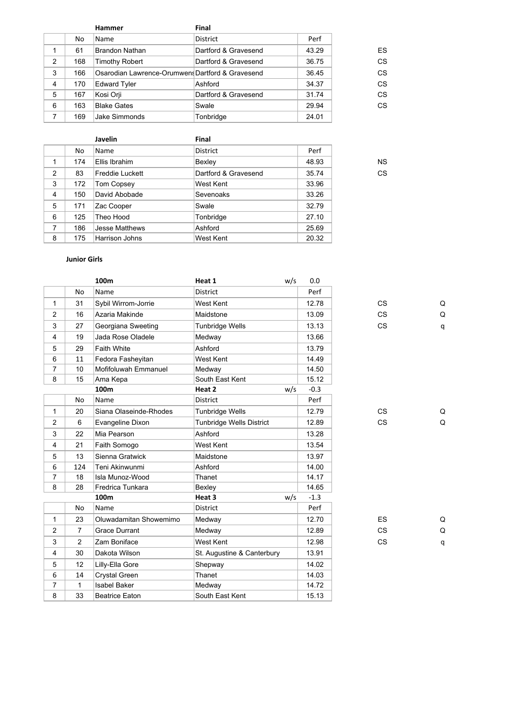|                |     | <b>Hammer</b>                                    | <b>Final</b>         |       |    |
|----------------|-----|--------------------------------------------------|----------------------|-------|----|
|                | No. | Name                                             | <b>District</b>      | Perf  |    |
|                | 61  | <b>Brandon Nathan</b>                            | Dartford & Gravesend | 43.29 | ES |
| 2              | 168 | <b>Timothy Robert</b>                            | Dartford & Gravesend | 36.75 | CS |
| 3              | 166 | Osarodian Lawrence-Orumwens Dartford & Gravesend |                      | 36.45 | CS |
| $\overline{4}$ | 170 | <b>Edward Tyler</b>                              | Ashford              | 34.37 | CS |
| 5              | 167 | Kosi Orji                                        | Dartford & Gravesend | 31.74 | CS |
| 6              | 163 | <b>Blake Gates</b>                               | Swale                | 29.94 | CS |
| 7              | 169 | Jake Simmonds                                    | Tonbridge            | 24.01 |    |

|                |     | Javelin                | <b>Final</b>         |       |           |
|----------------|-----|------------------------|----------------------|-------|-----------|
|                | No  | Name                   | District             | Perf  |           |
| 1              | 174 | Ellis Ibrahim          | Bexley               | 48.93 | <b>NS</b> |
| 2              | 83  | <b>Freddie Luckett</b> | Dartford & Gravesend | 35.74 | CS        |
| 3              | 172 | Tom Copsey             | West Kent            | 33.96 |           |
| 4              | 150 | David Abobade          | Sevenoaks            | 33.26 |           |
| 5              | 171 | Zac Cooper             | Swale                | 32.79 |           |
| 6              | 125 | Theo Hood              | Tonbridge            | 27.10 |           |
| $\overline{7}$ | 186 | <b>Jesse Matthews</b>  | Ashford              | 25.69 |           |
| 8              | 175 | Harrison Johns         | West Kent            | 20.32 |           |

# **Junior Girls**

| Q |
|---|
| Q |
| q |
|   |
|   |
|   |
|   |
|   |
|   |
|   |
| Q |
| Q |
|   |
|   |
|   |
|   |
|   |
|   |
|   |
|   |
| Q |
| Q |
| q |
|   |
|   |
|   |
|   |
|   |
|   |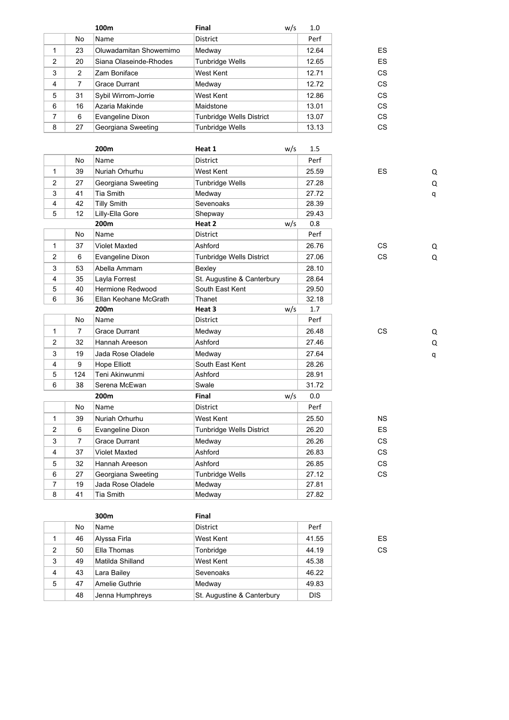|                |                | 100m                   | Final<br>w/s               | 1.0   |                          |   |
|----------------|----------------|------------------------|----------------------------|-------|--------------------------|---|
|                | No             | Name                   | <b>District</b>            | Perf  |                          |   |
| $\mathbf{1}$   | 23             | Oluwadamitan Showemimo | Medway                     | 12.64 | ES                       |   |
| $\overline{2}$ | 20             | Siana Olaseinde-Rhodes | Tunbridge Wells            | 12.65 | ES                       |   |
| 3              | $\overline{2}$ | Zam Boniface           | West Kent                  | 12.71 | <b>CS</b>                |   |
| 4              | $\overline{7}$ | Grace Durrant          | Medway                     | 12.72 | <b>CS</b>                |   |
| 5              | 31             | Sybil Wirrom-Jorrie    | West Kent                  | 12.86 | <b>CS</b>                |   |
| 6              | 16             | Azaria Makinde         | Maidstone                  | 13.01 | <b>CS</b>                |   |
| $\overline{7}$ | 6              | Evangeline Dixon       | Tunbridge Wells District   | 13.07 | <b>CS</b>                |   |
| 8              | 27             | Georgiana Sweeting     | <b>Tunbridge Wells</b>     | 13.13 | <b>CS</b>                |   |
|                |                |                        |                            |       |                          |   |
|                |                | 200 <sub>m</sub>       | Heat 1<br>w/s              | 1.5   |                          |   |
|                | No             | Name                   | District                   | Perf  |                          |   |
| 1              | 39             | Nuriah Orhurhu         | West Kent                  | 25.59 | ES                       | Q |
| $\overline{c}$ | 27             | Georgiana Sweeting     | <b>Tunbridge Wells</b>     | 27.28 |                          | Q |
| 3              | 41             | Tia Smith              | Medway                     | 27.72 |                          | q |
| 4              | 42             | <b>Tilly Smith</b>     | Sevenoaks                  | 28.39 |                          |   |
| 5              | 12             | Lilly-Ella Gore        | Shepway                    | 29.43 |                          |   |
|                |                | 200m                   | Heat 2<br>w/s              | 0.8   |                          |   |
|                | No             | Name                   | District                   | Perf  |                          |   |
| $\mathbf{1}$   | 37             | <b>Violet Maxted</b>   | Ashford                    | 26.76 | <b>CS</b>                | Q |
| $\overline{c}$ | 6              | Evangeline Dixon       | Tunbridge Wells District   | 27.06 | <b>CS</b>                | Q |
| 3              | 53             | Abella Ammam           | Bexley                     | 28.10 |                          |   |
| 4              | 35             | Layla Forrest          | St. Augustine & Canterbury | 28.64 |                          |   |
| 5              | 40             | Hermione Redwood       | South East Kent            | 29.50 |                          |   |
| 6              | 36             | Ellan Keohane McGrath  | Thanet                     | 32.18 |                          |   |
|                |                | 200m                   | Heat 3<br>w/s              | 1.7   |                          |   |
|                | No             | Name                   | District                   | Perf  |                          |   |
| $\mathbf{1}$   | $\overline{7}$ | <b>Grace Durrant</b>   | Medway                     | 26.48 | CS                       | Q |
| $\overline{c}$ | 32             | Hannah Areeson         | Ashford                    | 27.46 |                          | Q |
| 3              | 19             | Jada Rose Oladele      | Medway                     | 27.64 |                          | q |
| 4              | 9              | Hope Elliott           | South East Kent            | 28.26 |                          |   |
| 5              | 124            | Teni Akinwunmi         | Ashford                    | 28.91 |                          |   |
| 6              | 38             | Serena McEwan          | Swale                      | 31.72 |                          |   |
|                |                | 200m                   | Final<br>w/s               | 0.0   |                          |   |
|                | No             | Name                   | District                   | Perf  |                          |   |
| $\mathbf{1}$   | 39             | Nuriah Orhurhu         | West Kent                  | 25.50 | <b>NS</b>                |   |
| $\overline{2}$ | 6              | Evangeline Dixon       | Tunbridge Wells District   | 26.20 | ES                       |   |
| 3              | $\overline{7}$ | <b>Grace Durrant</b>   | Medway                     | 26.26 | CS                       |   |
| 4              | 37             | <b>Violet Maxted</b>   | Ashford                    | 26.83 | CS                       |   |
| 5              | 32             | Hannah Areeson         | Ashford                    | 26.85 | $\mathsf{CS}\phantom{0}$ |   |
| 6              | 27             | Georgiana Sweeting     | <b>Tunbridge Wells</b>     | 27.12 | CS                       |   |
| 7              | 19             | Jada Rose Oladele      | Medway                     | 27.81 |                          |   |
| 8              | 41             | Tia Smith              | Medway                     | 27.82 |                          |   |

|                |    | 300m             | Final                      |            |    |
|----------------|----|------------------|----------------------------|------------|----|
|                | No | Name             | <b>District</b>            | Perf       |    |
|                | 46 | Alyssa Firla     | West Kent                  | 41.55      | ES |
| $\overline{2}$ | 50 | Ella Thomas      | Tonbridge                  | 44.19      | CS |
| 3              | 49 | Matilda Shilland | West Kent                  | 45.38      |    |
| 4              | 43 | Lara Bailey      | Sevenoaks                  | 46.22      |    |
| 5              | 47 | Amelie Guthrie   | Medway                     | 49.83      |    |
|                | 48 | Jenna Humphreys  | St. Augustine & Canterbury | <b>DIS</b> |    |

41 Tia Smith Medway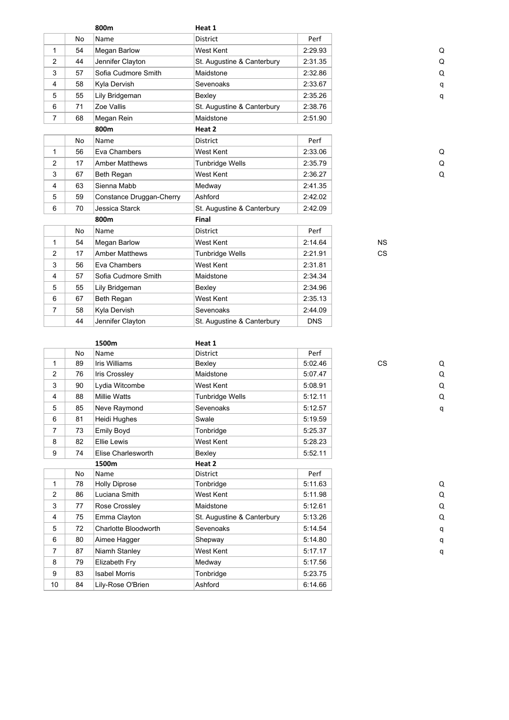|                |    | 800m                     | Heat 1                     |            |           |          |
|----------------|----|--------------------------|----------------------------|------------|-----------|----------|
|                | No | Name                     | <b>District</b>            | Perf       |           |          |
| 1              | 54 | Megan Barlow             | West Kent                  | 2:29.93    |           | Q        |
| $\overline{2}$ | 44 | Jennifer Clayton         | St. Augustine & Canterbury | 2:31.35    |           | Q        |
| 3              | 57 | Sofia Cudmore Smith      | Maidstone                  | 2:32.86    |           | $\Omega$ |
| 4              | 58 | Kyla Dervish             | Sevenoaks                  | 2:33.67    |           | q        |
| 5              | 55 | Lily Bridgeman           | Bexley                     | 2:35.26    |           | q        |
| 6              | 71 | Zoe Vallis               | St. Augustine & Canterbury | 2:38.76    |           |          |
| $\overline{7}$ | 68 | Megan Rein               | Maidstone                  | 2:51.90    |           |          |
|                |    | 800m                     | Heat 2                     |            |           |          |
|                | No | Name                     | <b>District</b>            | Perf       |           |          |
| $\mathbf{1}$   | 56 | Eva Chambers             | West Kent                  | 2:33.06    |           | Q        |
| 2              | 17 | <b>Amber Matthews</b>    | Tunbridge Wells            | 2:35.79    |           | Q        |
| 3              | 67 | Beth Regan               | West Kent                  | 2:36.27    |           | Q        |
| $\overline{4}$ | 63 | Sienna Mabb              | Medway                     | 2:41.35    |           |          |
| 5              | 59 | Constance Druggan-Cherry | Ashford                    | 2:42.02    |           |          |
| 6              | 70 | Jessica Starck           | St. Augustine & Canterbury | 2:42.09    |           |          |
|                |    | 800m                     | <b>Final</b>               |            |           |          |
|                | No | Name                     | <b>District</b>            | Perf       |           |          |
| $\mathbf{1}$   | 54 | Megan Barlow             | West Kent                  | 2:14.64    | <b>NS</b> |          |
| $\overline{2}$ | 17 | <b>Amber Matthews</b>    | <b>Tunbridge Wells</b>     | 2:21.91    | <b>CS</b> |          |
| 3              | 56 | Eva Chambers             | West Kent                  | 2:31.81    |           |          |
| 4              | 57 | Sofia Cudmore Smith      | Maidstone                  | 2:34.34    |           |          |
| 5              | 55 | Lily Bridgeman           | Bexley                     | 2:34.96    |           |          |
| 6              | 67 | Beth Regan               | West Kent                  | 2:35.13    |           |          |
| $\overline{7}$ | 58 | Kyla Dervish             | Sevenoaks                  | 2:44.09    |           |          |
|                | 44 | Jennifer Clayton         | St. Augustine & Canterbury | <b>DNS</b> |           |          |

|                 |    | 1500m                | Heat 1                     |         |           |   |
|-----------------|----|----------------------|----------------------------|---------|-----------|---|
|                 | No | Name                 | <b>District</b>            | Perf    |           |   |
| 1               | 89 | <b>Iris Williams</b> | Bexley                     | 5:02.46 | <b>CS</b> | Q |
| 2               | 76 | Iris Crossley        | Maidstone                  | 5:07.47 |           | Q |
| 3               | 90 | Lydia Witcombe       | West Kent                  | 5:08.91 |           | Q |
| $\overline{4}$  | 88 | <b>Millie Watts</b>  | Tunbridge Wells            | 5:12.11 |           | Q |
| 5               | 85 | Neve Raymond         | Sevenoaks                  | 5:12.57 |           | q |
| 6               | 81 | Heidi Hughes         | Swale                      | 5:19.59 |           |   |
| $\overline{7}$  | 73 | <b>Emily Boyd</b>    | Tonbridge                  | 5:25.37 |           |   |
| 8               | 82 | <b>Ellie Lewis</b>   | <b>West Kent</b>           | 5:28.23 |           |   |
| 9               | 74 | Elise Charlesworth   | Bexley                     | 5:52.11 |           |   |
|                 |    | 1500m                | Heat 2                     |         |           |   |
|                 | No | Name                 | <b>District</b>            | Perf    |           |   |
| 1               | 78 | <b>Holly Diprose</b> | Tonbridge                  | 5:11.63 |           | Q |
| $\overline{2}$  | 86 | Luciana Smith        | <b>West Kent</b>           | 5:11.98 |           | Q |
| 3               | 77 | Rose Crossley        | Maidstone                  | 5:12.61 |           | Q |
| $\overline{4}$  | 75 | Emma Clayton         | St. Augustine & Canterbury | 5:13.26 |           | Q |
| 5               | 72 | Charlotte Bloodworth | Sevenoaks                  | 5:14.54 |           | q |
| 6               | 80 | Aimee Hagger         | Shepway                    | 5:14.80 |           | q |
| $\overline{7}$  | 87 | Niamh Stanley        | West Kent                  | 5:17.17 |           | q |
| 8               | 79 | Elizabeth Fry        | Medway                     | 5:17.56 |           |   |
| 9               | 83 | <b>Isabel Morris</b> | Tonbridge                  | 5:23.75 |           |   |
| 10 <sup>°</sup> | 84 | Lily-Rose O'Brien    | Ashford                    | 6:14.66 |           |   |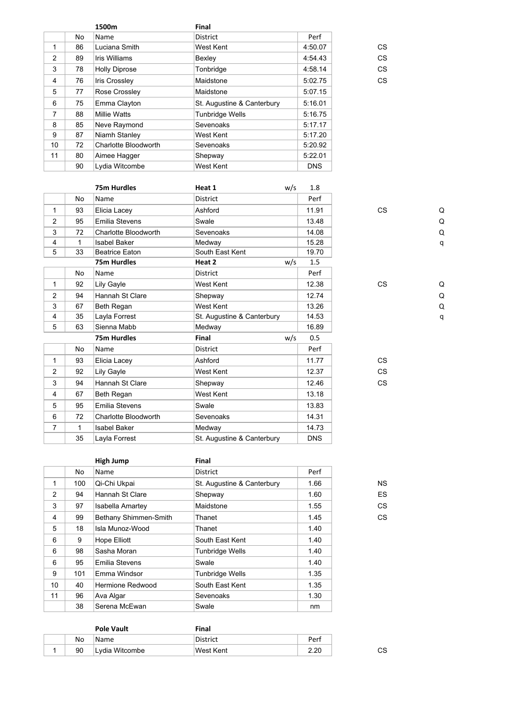|    | 1500m                | Final                      |            |    |
|----|----------------------|----------------------------|------------|----|
| No | Name                 | <b>District</b>            | Perf       |    |
| 86 | Luciana Smith        | West Kent                  | 4:50.07    | CS |
| 89 | Iris Williams        | Bexley                     | 4:54.43    | CS |
| 78 | <b>Holly Diprose</b> | Tonbridge                  | 4:58.14    | CS |
| 76 | Iris Crossley        | Maidstone                  | 5:02.75    | CS |
| 77 | Rose Crossley        | Maidstone                  | 5:07.15    |    |
| 75 | Emma Clayton         | St. Augustine & Canterbury | 5:16.01    |    |
| 88 | <b>Millie Watts</b>  | <b>Tunbridge Wells</b>     | 5:16.75    |    |
| 85 | Neve Raymond         | Sevenoaks                  | 5:17.17    |    |
| 87 | Niamh Stanley        | West Kent                  | 5:17.20    |    |
| 72 | Charlotte Bloodworth | Sevenoaks                  | 5:20.92    |    |
| 80 | Aimee Hagger         | Shepway                    | 5:22.01    |    |
| 90 | Lydia Witcombe       | West Kent                  | <b>DNS</b> |    |
|    |                      |                            |            |    |

|                |    | 75m Hurdles                 | Heat 1                     | w/s | 1.8        |           |          |
|----------------|----|-----------------------------|----------------------------|-----|------------|-----------|----------|
|                | No | Name                        | <b>District</b>            |     | Perf       |           |          |
| 1              | 93 | Elicia Lacey                | Ashford                    |     | 11.91      | <b>CS</b> | Q        |
| $\overline{2}$ | 95 | <b>Emilia Stevens</b>       | Swale                      |     | 13.48      |           | Q        |
| 3              | 72 | Charlotte Bloodworth        | Sevenoaks                  |     | 14.08      |           | $\Omega$ |
| 4              | 1  | <b>Isabel Baker</b>         | Medway                     |     | 15.28      |           | q        |
| 5              | 33 | <b>Beatrice Eaton</b>       | South East Kent            |     | 19.70      |           |          |
|                |    | <b>75m Hurdles</b>          | Heat 2                     | w/s | 1.5        |           |          |
|                | No | Name                        | <b>District</b>            |     | Perf       |           |          |
| $\mathbf{1}$   | 92 | Lily Gayle                  | West Kent                  |     | 12.38      | <b>CS</b> | Q        |
| $\overline{2}$ | 94 | Hannah St Clare             | Shepway                    |     | 12.74      |           | Q        |
| 3              | 67 | Beth Regan                  | West Kent                  |     | 13.26      |           | $\Omega$ |
| 4              | 35 | Layla Forrest               | St. Augustine & Canterbury |     | 14.53      |           | q        |
| 5              | 63 | Sienna Mabb                 | Medway                     |     | 16.89      |           |          |
|                |    | <b>75m Hurdles</b>          | Final                      | w/s | 0.5        |           |          |
|                | No | Name                        | District                   |     | Perf       |           |          |
| $\mathbf{1}$   | 93 | Elicia Lacey                | Ashford                    |     | 11.77      | <b>CS</b> |          |
| $\overline{2}$ | 92 | Lily Gayle                  | West Kent                  |     | 12.37      | <b>CS</b> |          |
| 3              | 94 | Hannah St Clare             | Shepway                    |     | 12.46      | <b>CS</b> |          |
| 4              | 67 | Beth Regan                  | West Kent                  |     | 13.18      |           |          |
| 5              | 95 | <b>Emilia Stevens</b>       | Swale                      |     | 13.83      |           |          |
| 6              | 72 | <b>Charlotte Bloodworth</b> | Sevenoaks                  |     | 14.31      |           |          |
| $\overline{7}$ | 1  | <b>Isabel Baker</b>         | Medway                     |     | 14.73      |           |          |
|                | 35 | Layla Forrest               | St. Augustine & Canterbury |     | <b>DNS</b> |           |          |
|                |    |                             |                            |     |            |           |          |

|    |     | High Jump               | Final                      |      |           |
|----|-----|-------------------------|----------------------------|------|-----------|
|    | No  | Name                    | <b>District</b>            | Perf |           |
| 1  | 100 | Qi-Chi Ukpai            | St. Augustine & Canterbury | 1.66 | <b>NS</b> |
| 2  | 94  | Hannah St Clare         | Shepway                    | 1.60 | ES        |
| 3  | 97  | <b>Isabella Amartey</b> | Maidstone                  | 1.55 | CS        |
| 4  | 99  | Bethany Shimmen-Smith   | Thanet                     | 1.45 | CS        |
| 5  | 18  | Isla Munoz-Wood         | Thanet                     | 1.40 |           |
| 6  | 9   | <b>Hope Elliott</b>     | South East Kent            | 1.40 |           |
| 6  | 98  | Sasha Moran             | <b>Tunbridge Wells</b>     | 1.40 |           |
| 6  | 95  | Emilia Stevens          | Swale                      | 1.40 |           |
| 9  | 101 | Emma Windsor            | <b>Tunbridge Wells</b>     | 1.35 |           |
| 10 | 40  | Hermione Redwood        | South East Kent            | 1.35 |           |
| 11 | 96  | Ava Algar               | Sevenoaks                  | 1.30 |           |
|    | 38  | Serena McEwan           | Swale                      | nm   |           |

|    | <b>Pole Vault</b> | Final     |      |    |
|----|-------------------|-----------|------|----|
| No | Name              | District  | Perf |    |
| 90 | ∣Lydia Witcombe   | West Kent | 2.20 | СS |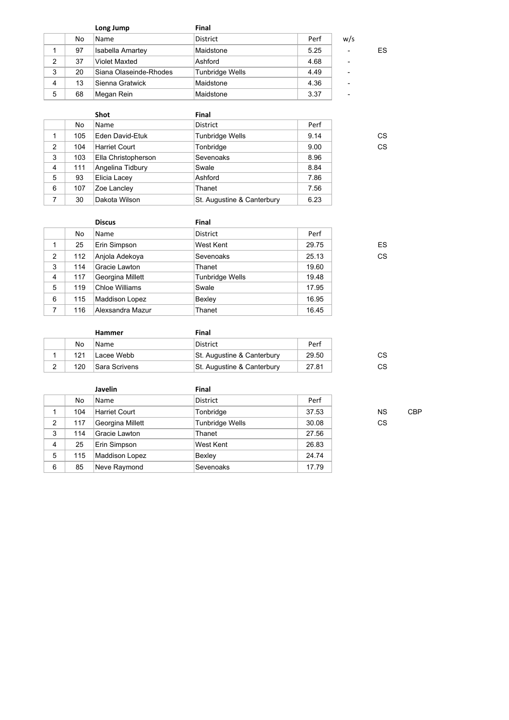|   |    | Long Jump               | <b>Final</b>    |      |                          |    |
|---|----|-------------------------|-----------------|------|--------------------------|----|
|   | No | Name                    | <b>District</b> | Perf | w/s                      |    |
|   | 97 | <b>Isabella Amartey</b> | Maidstone       | 5.25 | ۰                        | ES |
| 2 | 37 | <b>Violet Maxted</b>    | Ashford         | 4.68 | ۰                        |    |
| 3 | 20 | Siana Olaseinde-Rhodes  | Tunbridge Wells | 4.49 | ۰                        |    |
| 4 | 13 | Sienna Gratwick         | Maidstone       | 4.36 | $\overline{\phantom{0}}$ |    |
| 5 | 68 | Megan Rein              | Maidstone       | 3.37 | ۰                        |    |

|     | <b>Shot</b>          | <b>Final</b>               |      |    |
|-----|----------------------|----------------------------|------|----|
| No  | Name                 | District                   | Perf |    |
| 105 | Eden David-Etuk      | <b>Tunbridge Wells</b>     | 9.14 | CS |
| 104 | <b>Harriet Court</b> | Tonbridge                  | 9.00 | CS |
| 103 | Ella Christopherson  | Sevenoaks                  | 8.96 |    |
| 111 | Angelina Tidbury     | Swale                      | 8.84 |    |
| 93  | Elicia Lacey         | Ashford                    | 7.86 |    |
| 107 | Zoe Lancley          | Thanet                     | 7.56 |    |
| 30  | Dakota Wilson        | St. Augustine & Canterbury | 6.23 |    |
|     |                      |                            |      |    |

|   |     | <b>Discus</b>    | Final                  |       |    |
|---|-----|------------------|------------------------|-------|----|
|   | No  | Name             | <b>District</b>        | Perf  |    |
|   | 25  | Erin Simpson     | West Kent              | 29.75 | ES |
| 2 | 112 | Anjola Adekoya   | Sevenoaks              | 25.13 | CS |
| 3 | 114 | Gracie Lawton    | Thanet                 | 19.60 |    |
| 4 | 117 | Georgina Millett | <b>Tunbridge Wells</b> | 19.48 |    |
| 5 | 119 | Chloe Williams   | Swale                  | 17.95 |    |
| 6 | 115 | Maddison Lopez   | Bexley                 | 16.95 |    |
| 7 | 116 | Alexsandra Mazur | Thanet                 | 16.45 |    |

|     | <b>Hammer</b> | Final                      |       |    |
|-----|---------------|----------------------------|-------|----|
| No  | Name          | District                   | Perf  |    |
| 121 | Lacee Webb    | St. Augustine & Canterbury | 29.50 | СS |
| 120 | Sara Scrivens | St. Augustine & Canterbury | 27.81 | СS |

|   |     | Javelin          | <b>Final</b>    |       |           |            |
|---|-----|------------------|-----------------|-------|-----------|------------|
|   | No. | Name             | <b>District</b> | Perf  |           |            |
|   | 104 | Harriet Court    | Tonbridge       | 37.53 | NS.       | <b>CBP</b> |
| 2 | 117 | Georgina Millett | Tunbridge Wells | 30.08 | <b>CS</b> |            |
| 3 | 114 | Gracie Lawton    | Thanet          | 27.56 |           |            |
| 4 | 25  | Erin Simpson     | West Kent       | 26.83 |           |            |
| 5 | 115 | Maddison Lopez   | Bexley          | 24.74 |           |            |
| 6 | 85  | Neve Raymond     | Sevenoaks       | 17.79 |           |            |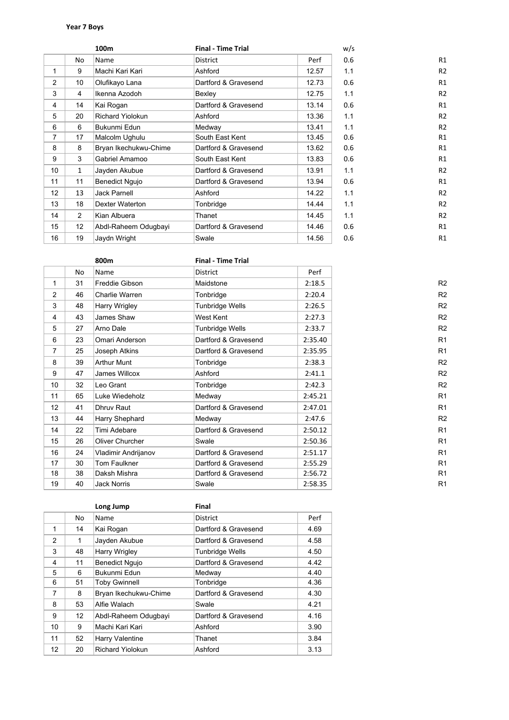## **Year 7 Boys**

|                |                 | 100 <sub>m</sub>        | <b>Final - Time Trial</b> |       | w/s |                |
|----------------|-----------------|-------------------------|---------------------------|-------|-----|----------------|
|                | No              | Name                    | <b>District</b>           | Perf  | 0.6 | R1             |
| 1              | 9               | Machi Kari Kari         | Ashford                   | 12.57 | 1.1 | R <sub>2</sub> |
| $\overline{2}$ | 10 <sup>1</sup> | Olufikayo Lana          | Dartford & Gravesend      | 12.73 | 0.6 | R1             |
| 3              | $\overline{4}$  | Ikenna Azodoh           | Bexley                    | 12.75 | 1.1 | R <sub>2</sub> |
| 4              | 14              | Kai Rogan               | Dartford & Gravesend      | 13.14 | 0.6 | R1             |
| 5              | 20              | <b>Richard Yiolokun</b> | Ashford                   | 13.36 | 1.1 | R <sub>2</sub> |
| 6              | 6               | Bukunmi Edun            | Medway                    | 13.41 | 1.1 | R <sub>2</sub> |
| 7              | 17              | Malcolm Ughulu          | South East Kent           | 13.45 | 0.6 | R1             |
| 8              | 8               | Bryan Ikechukwu-Chime   | Dartford & Gravesend      | 13.62 | 0.6 | R1             |
| 9              | 3               | Gabriel Amamoo          | South East Kent           | 13.83 | 0.6 | R1             |
| 10             | $\mathbf{1}$    | Jayden Akubue           | Dartford & Gravesend      | 13.91 | 1.1 | R <sub>2</sub> |
| 11             | 11              | <b>Benedict Ngujo</b>   | Dartford & Gravesend      | 13.94 | 0.6 | R1             |
| 12             | 13              | <b>Jack Parnell</b>     | Ashford                   | 14.22 | 1.1 | R <sub>2</sub> |
| 13             | 18              | <b>Dexter Waterton</b>  | Tonbridge                 | 14.44 | 1.1 | R <sub>2</sub> |
| 14             | $\overline{2}$  | Kian Albuera            | Thanet                    | 14.45 | 1.1 | R <sub>2</sub> |
| 15             | 12              | Abdl-Raheem Odugbayi    | Dartford & Gravesend      | 14.46 | 0.6 | R1             |
| 16             | 19              | Jaydn Wright            | Swale                     | 14.56 | 0.6 | R1             |

|                |    | 800m                | <b>Final - Time Trial</b> |         |                |
|----------------|----|---------------------|---------------------------|---------|----------------|
|                | No | Name                | <b>District</b>           | Perf    |                |
| 1              | 31 | Freddie Gibson      | Maidstone                 | 2:18.5  | R <sub>2</sub> |
| 2              | 46 | Charlie Warren      | Tonbridge                 | 2:20.4  | R <sub>2</sub> |
| 3              | 48 | Harry Wrigley       | <b>Tunbridge Wells</b>    | 2:26.5  | R <sub>2</sub> |
| $\overline{4}$ | 43 | James Shaw          | West Kent                 | 2:27.3  | R <sub>2</sub> |
| 5              | 27 | Arno Dale           | <b>Tunbridge Wells</b>    | 2:33.7  | R <sub>2</sub> |
| 6              | 23 | Omari Anderson      | Dartford & Gravesend      | 2:35.40 | R <sub>1</sub> |
| $\overline{7}$ | 25 | Joseph Atkins       | Dartford & Gravesend      | 2:35.95 | R <sub>1</sub> |
| 8              | 39 | <b>Arthur Munt</b>  | Tonbridge                 | 2:38.3  | R <sub>2</sub> |
| 9              | 47 | James Willcox       | Ashford                   | 2:41.1  | R <sub>2</sub> |
| 10             | 32 | Leo Grant           | Tonbridge                 | 2:42.3  | R <sub>2</sub> |
| 11             | 65 | Luke Wiedeholz      | Medway                    | 2:45.21 | R <sub>1</sub> |
| 12             | 41 | Dhruv Raut          | Dartford & Gravesend      | 2:47.01 | R <sub>1</sub> |
| 13             | 44 | Harry Shephard      | Medway                    | 2:47.6  | R <sub>2</sub> |
| 14             | 22 | Timi Adebare        | Dartford & Gravesend      | 2:50.12 | R <sub>1</sub> |
| 15             | 26 | Oliver Churcher     | Swale                     | 2:50.36 | R <sub>1</sub> |
| 16             | 24 | Vladimir Andrijanov | Dartford & Gravesend      | 2:51.17 | R <sub>1</sub> |
| 17             | 30 | Tom Faulkner        | Dartford & Gravesend      | 2:55.29 | R <sub>1</sub> |
| 18             | 38 | Daksh Mishra        | Dartford & Gravesend      | 2:56.72 | R <sub>1</sub> |
| 19             | 40 | <b>Jack Norris</b>  | Swale                     | 2:58.35 | R <sub>1</sub> |

|                |              | Long Jump               | Final                  |      |
|----------------|--------------|-------------------------|------------------------|------|
|                | No           | Name                    | <b>District</b>        | Perf |
| 1              | 14           | Kai Rogan               | Dartford & Gravesend   | 4.69 |
| $\mathfrak{p}$ | $\mathbf{1}$ | Jayden Akubue           | Dartford & Gravesend   | 4.58 |
| 3              | 48           | <b>Harry Wrigley</b>    | <b>Tunbridge Wells</b> | 4.50 |
| $\overline{4}$ | 11           | <b>Benedict Ngujo</b>   | Dartford & Gravesend   | 4.42 |
| 5              | 6            | Bukunmi Edun            | Medway                 | 4.40 |
| 6              | 51           | <b>Toby Gwinnell</b>    | Tonbridge              | 4.36 |
| $\overline{7}$ | 8            | Bryan Ikechukwu-Chime   | Dartford & Gravesend   | 4.30 |
| 8              | 53           | Alfie Walach            | Swale                  | 4.21 |
| 9              | 12           | Abdl-Raheem Odugbayi    | Dartford & Gravesend   | 4.16 |
| 10             | 9            | Machi Kari Kari         | Ashford                | 3.90 |
| 11             | 52           | Harry Valentine         | Thanet                 | 3.84 |
| 12             | 20           | <b>Richard Yiolokun</b> | Ashford                | 3.13 |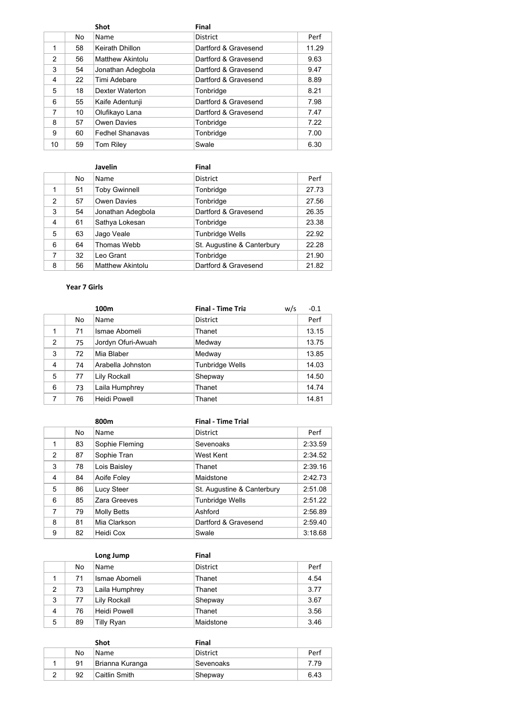|               |    | <b>Shot</b>             | Final                |       |
|---------------|----|-------------------------|----------------------|-------|
|               | No | Name                    | <b>District</b>      | Perf  |
| 1             | 58 | Keirath Dhillon         | Dartford & Gravesend | 11.29 |
| $\mathcal{P}$ | 56 | <b>Matthew Akintolu</b> | Dartford & Gravesend | 9.63  |
| 3             | 54 | Jonathan Adegbola       | Dartford & Gravesend | 9.47  |
| 4             | 22 | Timi Adebare            | Dartford & Gravesend | 8.89  |
| 5             | 18 | Dexter Waterton         | Tonbridge            | 8.21  |
| 6             | 55 | Kaife Adentunji         | Dartford & Gravesend | 7.98  |
| 7             | 10 | Olufikayo Lana          | Dartford & Gravesend | 7.47  |
| 8             | 57 | Owen Davies             | Tonbridge            | 7.22  |
| 9             | 60 | <b>Fedhel Shanavas</b>  | Tonbridge            | 7.00  |
| 10            | 59 | <b>Tom Riley</b>        | Swale                | 6.30  |

|                |     | Javelin                 | Final                      |       |
|----------------|-----|-------------------------|----------------------------|-------|
|                | No. | Name                    | <b>District</b>            | Perf  |
| 1              | 51  | <b>Toby Gwinnell</b>    | Tonbridge                  | 27.73 |
| $\overline{2}$ | 57  | Owen Davies             | Tonbridge                  | 27.56 |
| 3              | 54  | Jonathan Adegbola       | Dartford & Gravesend       | 26.35 |
| $\overline{4}$ | 61  | Sathya Lokesan          | Tonbridge                  | 23.38 |
| 5              | 63  | Jago Veale              | <b>Tunbridge Wells</b>     | 22.92 |
| 6              | 64  | Thomas Webb             | St. Augustine & Canterbury | 22.28 |
| $\overline{7}$ | 32  | Leo Grant               | Tonbridge                  | 21.90 |
| 8              | 56  | <b>Matthew Akintolu</b> | Dartford & Gravesend       | 21.82 |

# **Year 7 Girls**

|                |    | 100m                | <b>Final - Time Tria</b><br>w/s | $-0.1$ |
|----------------|----|---------------------|---------------------------------|--------|
|                | No | Name                | <b>District</b>                 | Perf   |
| 1              | 71 | Ismae Abomeli       | Thanet                          | 13.15  |
| 2              | 75 | Jordyn Ofuri-Awuah  | Medway                          | 13.75  |
| 3              | 72 | Mia Blaber          | Medway                          | 13.85  |
| $\overline{4}$ | 74 | Arabella Johnston   | <b>Tunbridge Wells</b>          | 14.03  |
| 5              | 77 | Lily Rockall        | Shepway                         | 14.50  |
| 6              | 73 | Laila Humphrey      | Thanet                          | 14.74  |
|                | 76 | <b>Heidi Powell</b> | Thanet                          | 14.81  |

|               |    | 800m               | <b>Final - Time Trial</b>  |         |
|---------------|----|--------------------|----------------------------|---------|
|               | No | Name               | <b>District</b>            | Perf    |
| 1             | 83 | Sophie Fleming     | Sevenoaks                  | 2:33.59 |
| $\mathcal{P}$ | 87 | Sophie Tran        | West Kent                  | 2:34.52 |
| 3             | 78 | Lois Baisley       | Thanet                     | 2:39.16 |
| 4             | 84 | Aoife Foley        | Maidstone                  | 2:42.73 |
| 5             | 86 | Lucy Steer         | St. Augustine & Canterbury | 2:51.08 |
| 6             | 85 | Zara Greeves       | <b>Tunbridge Wells</b>     | 2:51.22 |
| 7             | 79 | <b>Molly Betts</b> | Ashford                    | 2:56.89 |
| 8             | 81 | Mia Clarkson       | Dartford & Gravesend       | 2:59.40 |
| 9             | 82 | Heidi Cox          | Swale                      | 3:18.68 |

|                |    | Long Jump           | <b>Final</b>    |      |
|----------------|----|---------------------|-----------------|------|
|                | No | Name                | <b>District</b> | Perf |
|                | 71 | Ismae Abomeli       | Thanet          | 4.54 |
| $\overline{2}$ | 73 | Laila Humphrey      | Thanet          | 3.77 |
| 3              | 77 | Lily Rockall        | Shepway         | 3.67 |
| 4              | 76 | <b>Heidi Powell</b> | Thanet          | 3.56 |
| 5              | 89 | Tilly Ryan          | Maidstone       | 3.46 |

|    | Shot            | Final           |      |
|----|-----------------|-----------------|------|
| No | Name            | <b>District</b> | Perf |
| 91 | Brianna Kuranga | Sevenoaks       | 7.79 |
| 92 | ∣Caitlin Smith∶ | Shepway         | 6.43 |